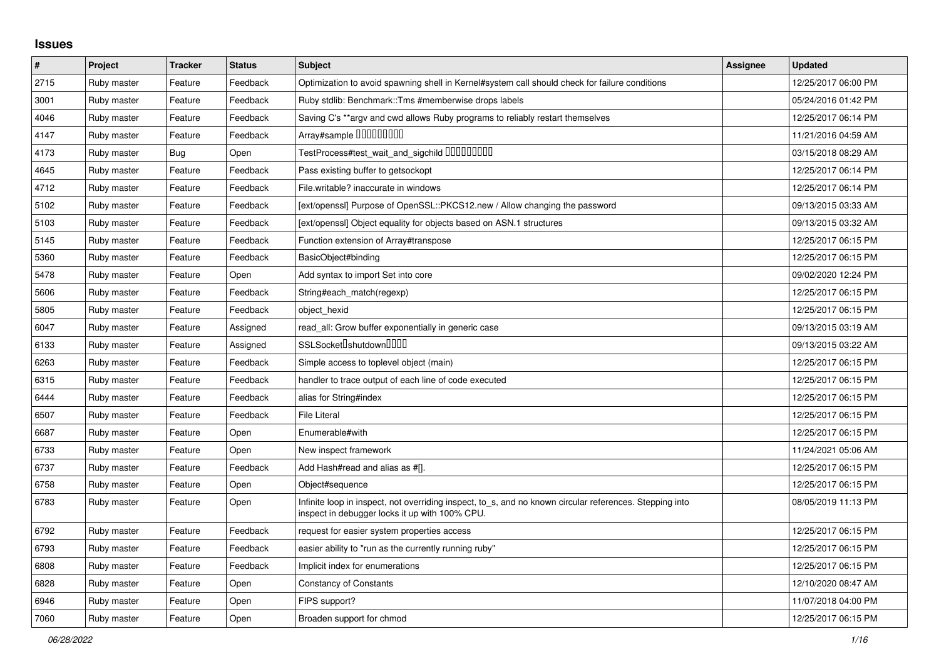## **Issues**

| $\sharp$ | Project     | <b>Tracker</b> | <b>Status</b> | <b>Subject</b>                                                                                                                                            | <b>Assignee</b> | <b>Updated</b>      |
|----------|-------------|----------------|---------------|-----------------------------------------------------------------------------------------------------------------------------------------------------------|-----------------|---------------------|
| 2715     | Ruby master | Feature        | Feedback      | Optimization to avoid spawning shell in Kernel#system call should check for failure conditions                                                            |                 | 12/25/2017 06:00 PM |
| 3001     | Ruby master | Feature        | Feedback      | Ruby stdlib: Benchmark::Tms #memberwise drops labels                                                                                                      |                 | 05/24/2016 01:42 PM |
| 4046     | Ruby master | Feature        | Feedback      | Saving C's **argy and cwd allows Ruby programs to reliably restart themselves                                                                             |                 | 12/25/2017 06:14 PM |
| 4147     | Ruby master | Feature        | Feedback      | Array#sample 000000000                                                                                                                                    |                 | 11/21/2016 04:59 AM |
| 4173     | Ruby master | <b>Bug</b>     | Open          | TestProcess#test_wait_and_sigchild 000000000                                                                                                              |                 | 03/15/2018 08:29 AM |
| 4645     | Ruby master | Feature        | Feedback      | Pass existing buffer to getsockopt                                                                                                                        |                 | 12/25/2017 06:14 PM |
| 4712     | Ruby master | Feature        | Feedback      | File.writable? inaccurate in windows                                                                                                                      |                 | 12/25/2017 06:14 PM |
| 5102     | Ruby master | Feature        | Feedback      | [ext/openssl] Purpose of OpenSSL::PKCS12.new / Allow changing the password                                                                                |                 | 09/13/2015 03:33 AM |
| 5103     | Ruby master | Feature        | Feedback      | [ext/openssl] Object equality for objects based on ASN.1 structures                                                                                       |                 | 09/13/2015 03:32 AM |
| 5145     | Ruby master | Feature        | Feedback      | Function extension of Array#transpose                                                                                                                     |                 | 12/25/2017 06:15 PM |
| 5360     | Ruby master | Feature        | Feedback      | BasicObject#binding                                                                                                                                       |                 | 12/25/2017 06:15 PM |
| 5478     | Ruby master | Feature        | Open          | Add syntax to import Set into core                                                                                                                        |                 | 09/02/2020 12:24 PM |
| 5606     | Ruby master | Feature        | Feedback      | String#each match(regexp)                                                                                                                                 |                 | 12/25/2017 06:15 PM |
| 5805     | Ruby master | Feature        | Feedback      | object hexid                                                                                                                                              |                 | 12/25/2017 06:15 PM |
| 6047     | Ruby master | Feature        | Assigned      | read_all: Grow buffer exponentially in generic case                                                                                                       |                 | 09/13/2015 03:19 AM |
| 6133     | Ruby master | Feature        | Assigned      | SSLSocket <sup>[</sup> shutdown <sup>[11]</sup>                                                                                                           |                 | 09/13/2015 03:22 AM |
| 6263     | Ruby master | Feature        | Feedback      | Simple access to toplevel object (main)                                                                                                                   |                 | 12/25/2017 06:15 PM |
| 6315     | Ruby master | Feature        | Feedback      | handler to trace output of each line of code executed                                                                                                     |                 | 12/25/2017 06:15 PM |
| 6444     | Ruby master | Feature        | Feedback      | alias for String#index                                                                                                                                    |                 | 12/25/2017 06:15 PM |
| 6507     | Ruby master | Feature        | Feedback      | <b>File Literal</b>                                                                                                                                       |                 | 12/25/2017 06:15 PM |
| 6687     | Ruby master | Feature        | Open          | Enumerable#with                                                                                                                                           |                 | 12/25/2017 06:15 PM |
| 6733     | Ruby master | Feature        | Open          | New inspect framework                                                                                                                                     |                 | 11/24/2021 05:06 AM |
| 6737     | Ruby master | Feature        | Feedback      | Add Hash#read and alias as #[].                                                                                                                           |                 | 12/25/2017 06:15 PM |
| 6758     | Ruby master | Feature        | Open          | Object#sequence                                                                                                                                           |                 | 12/25/2017 06:15 PM |
| 6783     | Ruby master | Feature        | Open          | Infinite loop in inspect, not overriding inspect, to_s, and no known circular references. Stepping into<br>inspect in debugger locks it up with 100% CPU. |                 | 08/05/2019 11:13 PM |
| 6792     | Ruby master | Feature        | Feedback      | request for easier system properties access                                                                                                               |                 | 12/25/2017 06:15 PM |
| 6793     | Ruby master | Feature        | Feedback      | easier ability to "run as the currently running ruby"                                                                                                     |                 | 12/25/2017 06:15 PM |
| 6808     | Ruby master | Feature        | Feedback      | Implicit index for enumerations                                                                                                                           |                 | 12/25/2017 06:15 PM |
| 6828     | Ruby master | Feature        | Open          | <b>Constancy of Constants</b>                                                                                                                             |                 | 12/10/2020 08:47 AM |
| 6946     | Ruby master | Feature        | Open          | FIPS support?                                                                                                                                             |                 | 11/07/2018 04:00 PM |
| 7060     | Ruby master | Feature        | Open          | Broaden support for chmod                                                                                                                                 |                 | 12/25/2017 06:15 PM |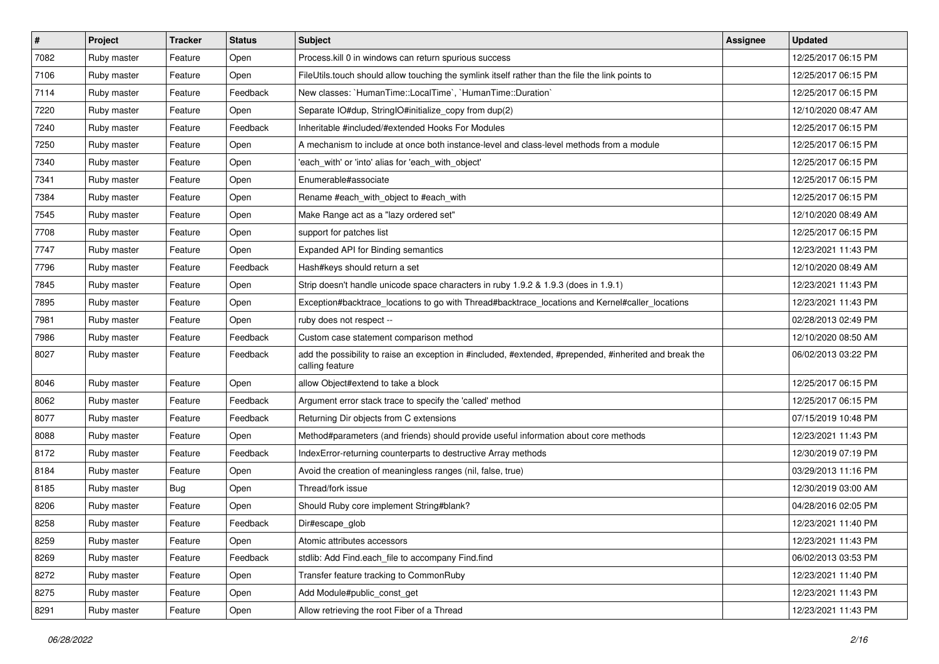| $\vert$ # | Project     | <b>Tracker</b> | <b>Status</b> | Subject                                                                                                                    | Assignee | <b>Updated</b>      |
|-----------|-------------|----------------|---------------|----------------------------------------------------------------------------------------------------------------------------|----------|---------------------|
| 7082      | Ruby master | Feature        | Open          | Process.kill 0 in windows can return spurious success                                                                      |          | 12/25/2017 06:15 PM |
| 7106      | Ruby master | Feature        | Open          | FileUtils.touch should allow touching the symlink itself rather than the file the link points to                           |          | 12/25/2017 06:15 PM |
| 7114      | Ruby master | Feature        | Feedback      | New classes: `HumanTime::LocalTime`, `HumanTime::Duration`                                                                 |          | 12/25/2017 06:15 PM |
| 7220      | Ruby master | Feature        | Open          | Separate IO#dup, StringIO#initialize_copy from dup(2)                                                                      |          | 12/10/2020 08:47 AM |
| 7240      | Ruby master | Feature        | Feedback      | Inheritable #included/#extended Hooks For Modules                                                                          |          | 12/25/2017 06:15 PM |
| 7250      | Ruby master | Feature        | Open          | A mechanism to include at once both instance-level and class-level methods from a module                                   |          | 12/25/2017 06:15 PM |
| 7340      | Ruby master | Feature        | Open          | 'each with' or 'into' alias for 'each with object'                                                                         |          | 12/25/2017 06:15 PM |
| 7341      | Ruby master | Feature        | Open          | Enumerable#associate                                                                                                       |          | 12/25/2017 06:15 PM |
| 7384      | Ruby master | Feature        | Open          | Rename #each_with_object to #each_with                                                                                     |          | 12/25/2017 06:15 PM |
| 7545      | Ruby master | Feature        | Open          | Make Range act as a "lazy ordered set"                                                                                     |          | 12/10/2020 08:49 AM |
| 7708      | Ruby master | Feature        | Open          | support for patches list                                                                                                   |          | 12/25/2017 06:15 PM |
| 7747      | Ruby master | Feature        | Open          | Expanded API for Binding semantics                                                                                         |          | 12/23/2021 11:43 PM |
| 7796      | Ruby master | Feature        | Feedback      | Hash#keys should return a set                                                                                              |          | 12/10/2020 08:49 AM |
| 7845      | Ruby master | Feature        | Open          | Strip doesn't handle unicode space characters in ruby 1.9.2 & 1.9.3 (does in 1.9.1)                                        |          | 12/23/2021 11:43 PM |
| 7895      | Ruby master | Feature        | Open          | Exception#backtrace_locations to go with Thread#backtrace_locations and Kernel#caller_locations                            |          | 12/23/2021 11:43 PM |
| 7981      | Ruby master | Feature        | Open          | ruby does not respect --                                                                                                   |          | 02/28/2013 02:49 PM |
| 7986      | Ruby master | Feature        | Feedback      | Custom case statement comparison method                                                                                    |          | 12/10/2020 08:50 AM |
| 8027      | Ruby master | Feature        | Feedback      | add the possibility to raise an exception in #included, #extended, #prepended, #inherited and break the<br>calling feature |          | 06/02/2013 03:22 PM |
| 8046      | Ruby master | Feature        | Open          | allow Object#extend to take a block                                                                                        |          | 12/25/2017 06:15 PM |
| 8062      | Ruby master | Feature        | Feedback      | Argument error stack trace to specify the 'called' method                                                                  |          | 12/25/2017 06:15 PM |
| 8077      | Ruby master | Feature        | Feedback      | Returning Dir objects from C extensions                                                                                    |          | 07/15/2019 10:48 PM |
| 8088      | Ruby master | Feature        | Open          | Method#parameters (and friends) should provide useful information about core methods                                       |          | 12/23/2021 11:43 PM |
| 8172      | Ruby master | Feature        | Feedback      | IndexError-returning counterparts to destructive Array methods                                                             |          | 12/30/2019 07:19 PM |
| 8184      | Ruby master | Feature        | Open          | Avoid the creation of meaningless ranges (nil, false, true)                                                                |          | 03/29/2013 11:16 PM |
| 8185      | Ruby master | <b>Bug</b>     | Open          | Thread/fork issue                                                                                                          |          | 12/30/2019 03:00 AM |
| 8206      | Ruby master | Feature        | Open          | Should Ruby core implement String#blank?                                                                                   |          | 04/28/2016 02:05 PM |
| 8258      | Ruby master | Feature        | Feedback      | Dir#escape_glob                                                                                                            |          | 12/23/2021 11:40 PM |
| 8259      | Ruby master | Feature        | Open          | Atomic attributes accessors                                                                                                |          | 12/23/2021 11:43 PM |
| 8269      | Ruby master | Feature        | Feedback      | stdlib: Add Find.each_file to accompany Find.find                                                                          |          | 06/02/2013 03:53 PM |
| 8272      | Ruby master | Feature        | Open          | Transfer feature tracking to CommonRuby                                                                                    |          | 12/23/2021 11:40 PM |
| 8275      | Ruby master | Feature        | Open          | Add Module#public_const_get                                                                                                |          | 12/23/2021 11:43 PM |
| 8291      | Ruby master | Feature        | Open          | Allow retrieving the root Fiber of a Thread                                                                                |          | 12/23/2021 11:43 PM |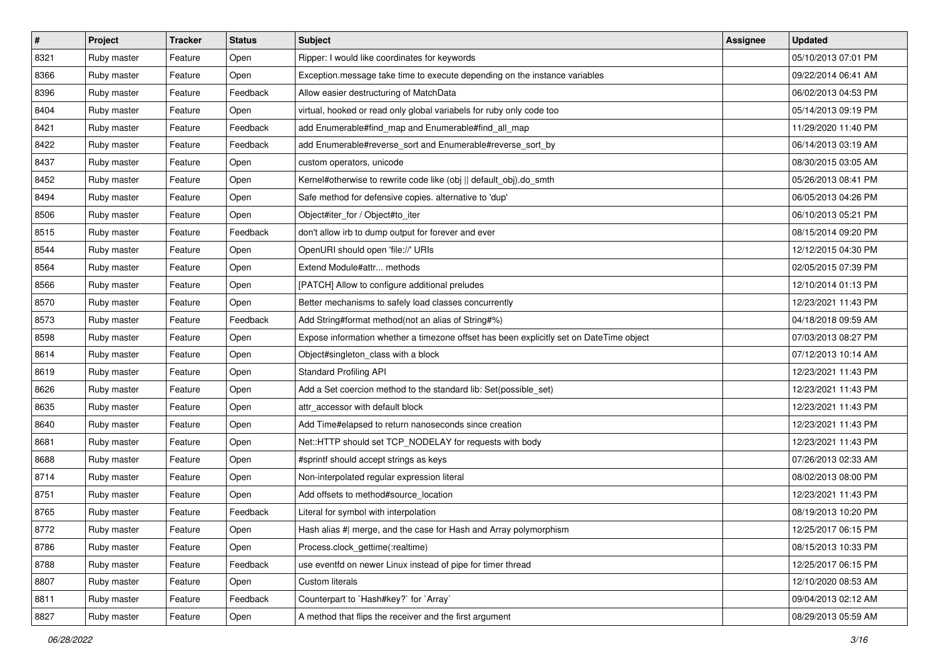| $\vert$ # | Project     | <b>Tracker</b> | <b>Status</b> | <b>Subject</b>                                                                          | Assignee | <b>Updated</b>      |
|-----------|-------------|----------------|---------------|-----------------------------------------------------------------------------------------|----------|---------------------|
| 8321      | Ruby master | Feature        | Open          | Ripper: I would like coordinates for keywords                                           |          | 05/10/2013 07:01 PM |
| 8366      | Ruby master | Feature        | Open          | Exception message take time to execute depending on the instance variables              |          | 09/22/2014 06:41 AM |
| 8396      | Ruby master | Feature        | Feedback      | Allow easier destructuring of MatchData                                                 |          | 06/02/2013 04:53 PM |
| 8404      | Ruby master | Feature        | Open          | virtual, hooked or read only global variabels for ruby only code too                    |          | 05/14/2013 09:19 PM |
| 8421      | Ruby master | Feature        | Feedback      | add Enumerable#find_map and Enumerable#find_all_map                                     |          | 11/29/2020 11:40 PM |
| 8422      | Ruby master | Feature        | Feedback      | add Enumerable#reverse_sort and Enumerable#reverse_sort_by                              |          | 06/14/2013 03:19 AM |
| 8437      | Ruby master | Feature        | Open          | custom operators, unicode                                                               |          | 08/30/2015 03:05 AM |
| 8452      | Ruby master | Feature        | Open          | Kernel#otherwise to rewrite code like (obj    default obj).do smth                      |          | 05/26/2013 08:41 PM |
| 8494      | Ruby master | Feature        | Open          | Safe method for defensive copies. alternative to 'dup'                                  |          | 06/05/2013 04:26 PM |
| 8506      | Ruby master | Feature        | Open          | Object#iter_for / Object#to_iter                                                        |          | 06/10/2013 05:21 PM |
| 8515      | Ruby master | Feature        | Feedback      | don't allow irb to dump output for forever and ever                                     |          | 08/15/2014 09:20 PM |
| 8544      | Ruby master | Feature        | Open          | OpenURI should open 'file://' URIs                                                      |          | 12/12/2015 04:30 PM |
| 8564      | Ruby master | Feature        | Open          | Extend Module#attr methods                                                              |          | 02/05/2015 07:39 PM |
| 8566      | Ruby master | Feature        | Open          | [PATCH] Allow to configure additional preludes                                          |          | 12/10/2014 01:13 PM |
| 8570      | Ruby master | Feature        | Open          | Better mechanisms to safely load classes concurrently                                   |          | 12/23/2021 11:43 PM |
| 8573      | Ruby master | Feature        | Feedback      | Add String#format method(not an alias of String#%)                                      |          | 04/18/2018 09:59 AM |
| 8598      | Ruby master | Feature        | Open          | Expose information whether a timezone offset has been explicitly set on DateTime object |          | 07/03/2013 08:27 PM |
| 8614      | Ruby master | Feature        | Open          | Object#singleton_class with a block                                                     |          | 07/12/2013 10:14 AM |
| 8619      | Ruby master | Feature        | Open          | <b>Standard Profiling API</b>                                                           |          | 12/23/2021 11:43 PM |
| 8626      | Ruby master | Feature        | Open          | Add a Set coercion method to the standard lib: Set(possible_set)                        |          | 12/23/2021 11:43 PM |
| 8635      | Ruby master | Feature        | Open          | attr accessor with default block                                                        |          | 12/23/2021 11:43 PM |
| 8640      | Ruby master | Feature        | Open          | Add Time#elapsed to return nanoseconds since creation                                   |          | 12/23/2021 11:43 PM |
| 8681      | Ruby master | Feature        | Open          | Net::HTTP should set TCP_NODELAY for requests with body                                 |          | 12/23/2021 11:43 PM |
| 8688      | Ruby master | Feature        | Open          | #sprintf should accept strings as keys                                                  |          | 07/26/2013 02:33 AM |
| 8714      | Ruby master | Feature        | Open          | Non-interpolated regular expression literal                                             |          | 08/02/2013 08:00 PM |
| 8751      | Ruby master | Feature        | Open          | Add offsets to method#source_location                                                   |          | 12/23/2021 11:43 PM |
| 8765      | Ruby master | Feature        | Feedback      | Literal for symbol with interpolation                                                   |          | 08/19/2013 10:20 PM |
| 8772      | Ruby master | Feature        | Open          | Hash alias #  merge, and the case for Hash and Array polymorphism                       |          | 12/25/2017 06:15 PM |
| 8786      | Ruby master | Feature        | Open          | Process.clock_gettime(:realtime)                                                        |          | 08/15/2013 10:33 PM |
| 8788      | Ruby master | Feature        | Feedback      | use eventfd on newer Linux instead of pipe for timer thread                             |          | 12/25/2017 06:15 PM |
| 8807      | Ruby master | Feature        | Open          | Custom literals                                                                         |          | 12/10/2020 08:53 AM |
| 8811      | Ruby master | Feature        | Feedback      | Counterpart to `Hash#key?` for `Array`                                                  |          | 09/04/2013 02:12 AM |
| 8827      | Ruby master | Feature        | Open          | A method that flips the receiver and the first argument                                 |          | 08/29/2013 05:59 AM |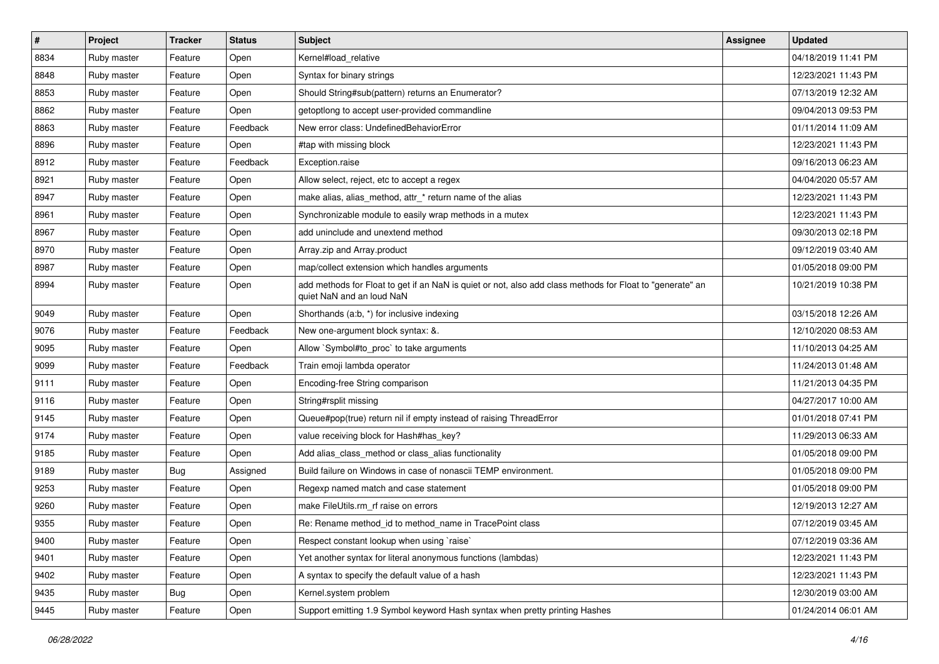| $\vert$ # | Project     | <b>Tracker</b> | <b>Status</b> | <b>Subject</b>                                                                                                                         | <b>Assignee</b> | <b>Updated</b>      |
|-----------|-------------|----------------|---------------|----------------------------------------------------------------------------------------------------------------------------------------|-----------------|---------------------|
| 8834      | Ruby master | Feature        | Open          | Kernel#load_relative                                                                                                                   |                 | 04/18/2019 11:41 PM |
| 8848      | Ruby master | Feature        | Open          | Syntax for binary strings                                                                                                              |                 | 12/23/2021 11:43 PM |
| 8853      | Ruby master | Feature        | Open          | Should String#sub(pattern) returns an Enumerator?                                                                                      |                 | 07/13/2019 12:32 AM |
| 8862      | Ruby master | Feature        | Open          | getoptiong to accept user-provided commandline                                                                                         |                 | 09/04/2013 09:53 PM |
| 8863      | Ruby master | Feature        | Feedback      | New error class: UndefinedBehaviorError                                                                                                |                 | 01/11/2014 11:09 AM |
| 8896      | Ruby master | Feature        | Open          | #tap with missing block                                                                                                                |                 | 12/23/2021 11:43 PM |
| 8912      | Ruby master | Feature        | Feedback      | Exception.raise                                                                                                                        |                 | 09/16/2013 06:23 AM |
| 8921      | Ruby master | Feature        | Open          | Allow select, reject, etc to accept a regex                                                                                            |                 | 04/04/2020 05:57 AM |
| 8947      | Ruby master | Feature        | Open          | make alias, alias_method, attr_* return name of the alias                                                                              |                 | 12/23/2021 11:43 PM |
| 8961      | Ruby master | Feature        | Open          | Synchronizable module to easily wrap methods in a mutex                                                                                |                 | 12/23/2021 11:43 PM |
| 8967      | Ruby master | Feature        | Open          | add uninclude and unextend method                                                                                                      |                 | 09/30/2013 02:18 PM |
| 8970      | Ruby master | Feature        | Open          | Array.zip and Array.product                                                                                                            |                 | 09/12/2019 03:40 AM |
| 8987      | Ruby master | Feature        | Open          | map/collect extension which handles arguments                                                                                          |                 | 01/05/2018 09:00 PM |
| 8994      | Ruby master | Feature        | Open          | add methods for Float to get if an NaN is quiet or not, also add class methods for Float to "generate" an<br>quiet NaN and an loud NaN |                 | 10/21/2019 10:38 PM |
| 9049      | Ruby master | Feature        | Open          | Shorthands (a:b, *) for inclusive indexing                                                                                             |                 | 03/15/2018 12:26 AM |
| 9076      | Ruby master | Feature        | Feedback      | New one-argument block syntax: &.                                                                                                      |                 | 12/10/2020 08:53 AM |
| 9095      | Ruby master | Feature        | Open          | Allow `Symbol#to_proc` to take arguments                                                                                               |                 | 11/10/2013 04:25 AM |
| 9099      | Ruby master | Feature        | Feedback      | Train emoji lambda operator                                                                                                            |                 | 11/24/2013 01:48 AM |
| 9111      | Ruby master | Feature        | Open          | Encoding-free String comparison                                                                                                        |                 | 11/21/2013 04:35 PM |
| 9116      | Ruby master | Feature        | Open          | String#rsplit missing                                                                                                                  |                 | 04/27/2017 10:00 AM |
| 9145      | Ruby master | Feature        | Open          | Queue#pop(true) return nil if empty instead of raising ThreadError                                                                     |                 | 01/01/2018 07:41 PM |
| 9174      | Ruby master | Feature        | Open          | value receiving block for Hash#has_key?                                                                                                |                 | 11/29/2013 06:33 AM |
| 9185      | Ruby master | Feature        | Open          | Add alias class method or class alias functionality                                                                                    |                 | 01/05/2018 09:00 PM |
| 9189      | Ruby master | Bug            | Assigned      | Build failure on Windows in case of nonascii TEMP environment.                                                                         |                 | 01/05/2018 09:00 PM |
| 9253      | Ruby master | Feature        | Open          | Regexp named match and case statement                                                                                                  |                 | 01/05/2018 09:00 PM |
| 9260      | Ruby master | Feature        | Open          | make FileUtils.rm rf raise on errors                                                                                                   |                 | 12/19/2013 12:27 AM |
| 9355      | Ruby master | Feature        | Open          | Re: Rename method id to method name in TracePoint class                                                                                |                 | 07/12/2019 03:45 AM |
| 9400      | Ruby master | Feature        | Open          | Respect constant lookup when using `raise`                                                                                             |                 | 07/12/2019 03:36 AM |
| 9401      | Ruby master | Feature        | Open          | Yet another syntax for literal anonymous functions (lambdas)                                                                           |                 | 12/23/2021 11:43 PM |
| 9402      | Ruby master | Feature        | Open          | A syntax to specify the default value of a hash                                                                                        |                 | 12/23/2021 11:43 PM |
| 9435      | Ruby master | <b>Bug</b>     | Open          | Kernel.system problem                                                                                                                  |                 | 12/30/2019 03:00 AM |
| 9445      | Ruby master | Feature        | Open          | Support emitting 1.9 Symbol keyword Hash syntax when pretty printing Hashes                                                            |                 | 01/24/2014 06:01 AM |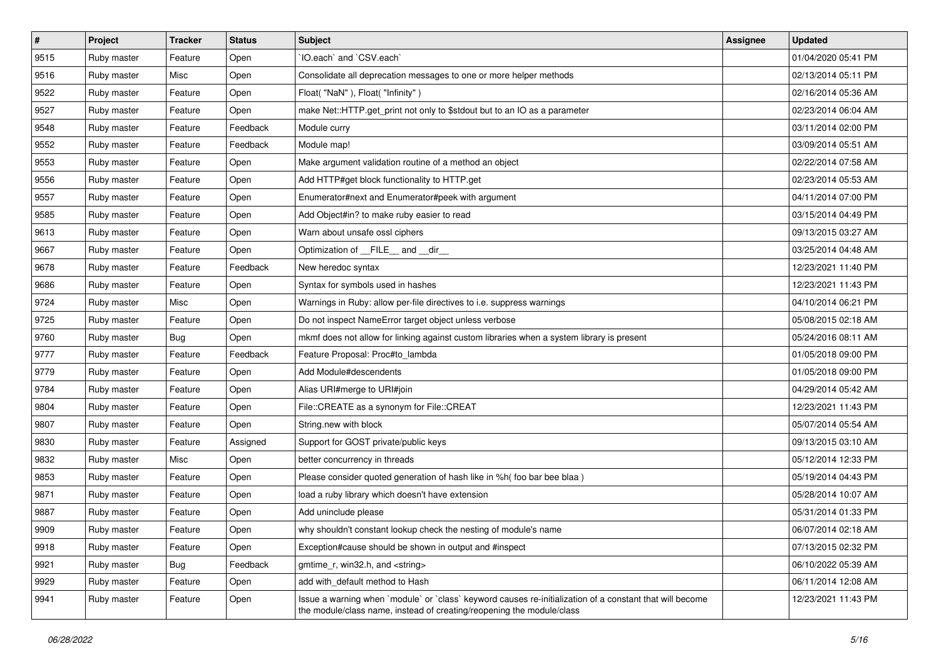| $\vert$ # | Project     | <b>Tracker</b> | <b>Status</b> | <b>Subject</b>                                                                                                                                                                    | Assignee | <b>Updated</b>      |
|-----------|-------------|----------------|---------------|-----------------------------------------------------------------------------------------------------------------------------------------------------------------------------------|----------|---------------------|
| 9515      | Ruby master | Feature        | Open          | 'IO.each' and 'CSV.each'                                                                                                                                                          |          | 01/04/2020 05:41 PM |
| 9516      | Ruby master | Misc           | Open          | Consolidate all deprecation messages to one or more helper methods                                                                                                                |          | 02/13/2014 05:11 PM |
| 9522      | Ruby master | Feature        | Open          | Float("NaN"), Float("Infinity")                                                                                                                                                   |          | 02/16/2014 05:36 AM |
| 9527      | Ruby master | Feature        | Open          | make Net::HTTP.get_print not only to \$stdout but to an IO as a parameter                                                                                                         |          | 02/23/2014 06:04 AM |
| 9548      | Ruby master | Feature        | Feedback      | Module curry                                                                                                                                                                      |          | 03/11/2014 02:00 PM |
| 9552      | Ruby master | Feature        | Feedback      | Module map!                                                                                                                                                                       |          | 03/09/2014 05:51 AM |
| 9553      | Ruby master | Feature        | Open          | Make argument validation routine of a method an object                                                                                                                            |          | 02/22/2014 07:58 AM |
| 9556      | Ruby master | Feature        | Open          | Add HTTP#get block functionality to HTTP.get                                                                                                                                      |          | 02/23/2014 05:53 AM |
| 9557      | Ruby master | Feature        | Open          | Enumerator#next and Enumerator#peek with argument                                                                                                                                 |          | 04/11/2014 07:00 PM |
| 9585      | Ruby master | Feature        | Open          | Add Object#in? to make ruby easier to read                                                                                                                                        |          | 03/15/2014 04:49 PM |
| 9613      | Ruby master | Feature        | Open          | Warn about unsafe ossl ciphers                                                                                                                                                    |          | 09/13/2015 03:27 AM |
| 9667      | Ruby master | Feature        | Open          | Optimization of FILE_and _dir_                                                                                                                                                    |          | 03/25/2014 04:48 AM |
| 9678      | Ruby master | Feature        | Feedback      | New heredoc syntax                                                                                                                                                                |          | 12/23/2021 11:40 PM |
| 9686      | Ruby master | Feature        | Open          | Syntax for symbols used in hashes                                                                                                                                                 |          | 12/23/2021 11:43 PM |
| 9724      | Ruby master | Misc           | Open          | Warnings in Ruby: allow per-file directives to i.e. suppress warnings                                                                                                             |          | 04/10/2014 06:21 PM |
| 9725      | Ruby master | Feature        | Open          | Do not inspect NameError target object unless verbose                                                                                                                             |          | 05/08/2015 02:18 AM |
| 9760      | Ruby master | Bug            | Open          | mkmf does not allow for linking against custom libraries when a system library is present                                                                                         |          | 05/24/2016 08:11 AM |
| 9777      | Ruby master | Feature        | Feedback      | Feature Proposal: Proc#to_lambda                                                                                                                                                  |          | 01/05/2018 09:00 PM |
| 9779      | Ruby master | Feature        | Open          | Add Module#descendents                                                                                                                                                            |          | 01/05/2018 09:00 PM |
| 9784      | Ruby master | Feature        | Open          | Alias URI#merge to URI#join                                                                                                                                                       |          | 04/29/2014 05:42 AM |
| 9804      | Ruby master | Feature        | Open          | File::CREATE as a synonym for File::CREAT                                                                                                                                         |          | 12/23/2021 11:43 PM |
| 9807      | Ruby master | Feature        | Open          | String.new with block                                                                                                                                                             |          | 05/07/2014 05:54 AM |
| 9830      | Ruby master | Feature        | Assigned      | Support for GOST private/public keys                                                                                                                                              |          | 09/13/2015 03:10 AM |
| 9832      | Ruby master | Misc           | Open          | better concurrency in threads                                                                                                                                                     |          | 05/12/2014 12:33 PM |
| 9853      | Ruby master | Feature        | Open          | Please consider quoted generation of hash like in %h( foo bar bee blaa )                                                                                                          |          | 05/19/2014 04:43 PM |
| 9871      | Ruby master | Feature        | Open          | load a ruby library which doesn't have extension                                                                                                                                  |          | 05/28/2014 10:07 AM |
| 9887      | Ruby master | Feature        | Open          | Add uninclude please                                                                                                                                                              |          | 05/31/2014 01:33 PM |
| 9909      | Ruby master | Feature        | Open          | why shouldn't constant lookup check the nesting of module's name                                                                                                                  |          | 06/07/2014 02:18 AM |
| 9918      | Ruby master | Feature        | Open          | Exception#cause should be shown in output and #inspect                                                                                                                            |          | 07/13/2015 02:32 PM |
| 9921      | Ruby master | <b>Bug</b>     | Feedback      | gmtime r, win32.h, and <string></string>                                                                                                                                          |          | 06/10/2022 05:39 AM |
| 9929      | Ruby master | Feature        | Open          | add with_default method to Hash                                                                                                                                                   |          | 06/11/2014 12:08 AM |
| 9941      | Ruby master | Feature        | Open          | Issue a warning when `module` or `class` keyword causes re-initialization of a constant that will become<br>the module/class name, instead of creating/reopening the module/class |          | 12/23/2021 11:43 PM |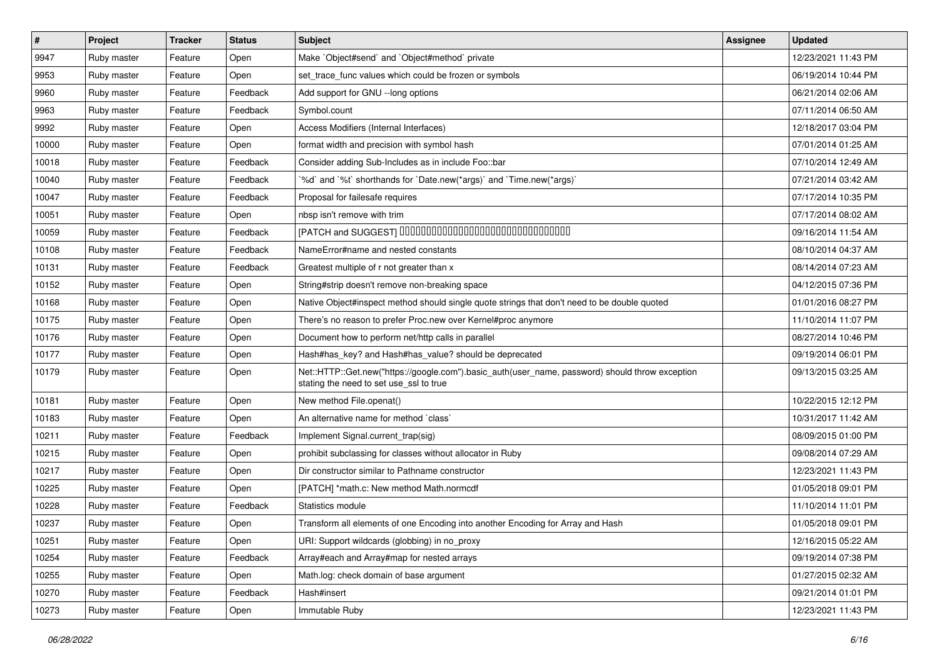| $\vert$ # | Project     | <b>Tracker</b> | <b>Status</b> | <b>Subject</b>                                                                                                                             | <b>Assignee</b> | <b>Updated</b>      |
|-----------|-------------|----------------|---------------|--------------------------------------------------------------------------------------------------------------------------------------------|-----------------|---------------------|
| 9947      | Ruby master | Feature        | Open          | Make `Object#send` and `Object#method` private                                                                                             |                 | 12/23/2021 11:43 PM |
| 9953      | Ruby master | Feature        | Open          | set_trace_func values which could be frozen or symbols                                                                                     |                 | 06/19/2014 10:44 PM |
| 9960      | Ruby master | Feature        | Feedback      | Add support for GNU -- long options                                                                                                        |                 | 06/21/2014 02:06 AM |
| 9963      | Ruby master | Feature        | Feedback      | Symbol.count                                                                                                                               |                 | 07/11/2014 06:50 AM |
| 9992      | Ruby master | Feature        | Open          | Access Modifiers (Internal Interfaces)                                                                                                     |                 | 12/18/2017 03:04 PM |
| 10000     | Ruby master | Feature        | Open          | format width and precision with symbol hash                                                                                                |                 | 07/01/2014 01:25 AM |
| 10018     | Ruby master | Feature        | Feedback      | Consider adding Sub-Includes as in include Foo::bar                                                                                        |                 | 07/10/2014 12:49 AM |
| 10040     | Ruby master | Feature        | Feedback      | '%d' and '%t' shorthands for 'Date.new(*args)' and 'Time.new(*args)'                                                                       |                 | 07/21/2014 03:42 AM |
| 10047     | Ruby master | Feature        | Feedback      | Proposal for failesafe requires                                                                                                            |                 | 07/17/2014 10:35 PM |
| 10051     | Ruby master | Feature        | Open          | nbsp isn't remove with trim                                                                                                                |                 | 07/17/2014 08:02 AM |
| 10059     | Ruby master | Feature        | Feedback      | [PATCH and SUGGEST] 0000000000000000000000000000000                                                                                        |                 | 09/16/2014 11:54 AM |
| 10108     | Ruby master | Feature        | Feedback      | NameError#name and nested constants                                                                                                        |                 | 08/10/2014 04:37 AM |
| 10131     | Ruby master | Feature        | Feedback      | Greatest multiple of r not greater than x                                                                                                  |                 | 08/14/2014 07:23 AM |
| 10152     | Ruby master | Feature        | Open          | String#strip doesn't remove non-breaking space                                                                                             |                 | 04/12/2015 07:36 PM |
| 10168     | Ruby master | Feature        | Open          | Native Object#inspect method should single quote strings that don't need to be double quoted                                               |                 | 01/01/2016 08:27 PM |
| 10175     | Ruby master | Feature        | Open          | There's no reason to prefer Proc.new over Kernel#proc anymore                                                                              |                 | 11/10/2014 11:07 PM |
| 10176     | Ruby master | Feature        | Open          | Document how to perform net/http calls in parallel                                                                                         |                 | 08/27/2014 10:46 PM |
| 10177     | Ruby master | Feature        | Open          | Hash#has_key? and Hash#has_value? should be deprecated                                                                                     |                 | 09/19/2014 06:01 PM |
| 10179     | Ruby master | Feature        | Open          | Net::HTTP::Get.new("https://google.com").basic_auth(user_name, password) should throw exception<br>stating the need to set use_ssl to true |                 | 09/13/2015 03:25 AM |
| 10181     | Ruby master | Feature        | Open          | New method File.openat()                                                                                                                   |                 | 10/22/2015 12:12 PM |
| 10183     | Ruby master | Feature        | Open          | An alternative name for method `class`                                                                                                     |                 | 10/31/2017 11:42 AM |
| 10211     | Ruby master | Feature        | Feedback      | Implement Signal.current_trap(sig)                                                                                                         |                 | 08/09/2015 01:00 PM |
| 10215     | Ruby master | Feature        | Open          | prohibit subclassing for classes without allocator in Ruby                                                                                 |                 | 09/08/2014 07:29 AM |
| 10217     | Ruby master | Feature        | Open          | Dir constructor similar to Pathname constructor                                                                                            |                 | 12/23/2021 11:43 PM |
| 10225     | Ruby master | Feature        | Open          | [PATCH] *math.c: New method Math.normcdf                                                                                                   |                 | 01/05/2018 09:01 PM |
| 10228     | Ruby master | Feature        | Feedback      | Statistics module                                                                                                                          |                 | 11/10/2014 11:01 PM |
| 10237     | Ruby master | Feature        | Open          | Transform all elements of one Encoding into another Encoding for Array and Hash                                                            |                 | 01/05/2018 09:01 PM |
| 10251     | Ruby master | Feature        | Open          | URI: Support wildcards (globbing) in no_proxy                                                                                              |                 | 12/16/2015 05:22 AM |
| 10254     | Ruby master | Feature        | Feedback      | Array#each and Array#map for nested arrays                                                                                                 |                 | 09/19/2014 07:38 PM |
| 10255     | Ruby master | Feature        | Open          | Math.log: check domain of base argument                                                                                                    |                 | 01/27/2015 02:32 AM |
| 10270     | Ruby master | Feature        | Feedback      | Hash#insert                                                                                                                                |                 | 09/21/2014 01:01 PM |
| 10273     | Ruby master | Feature        | Open          | Immutable Ruby                                                                                                                             |                 | 12/23/2021 11:43 PM |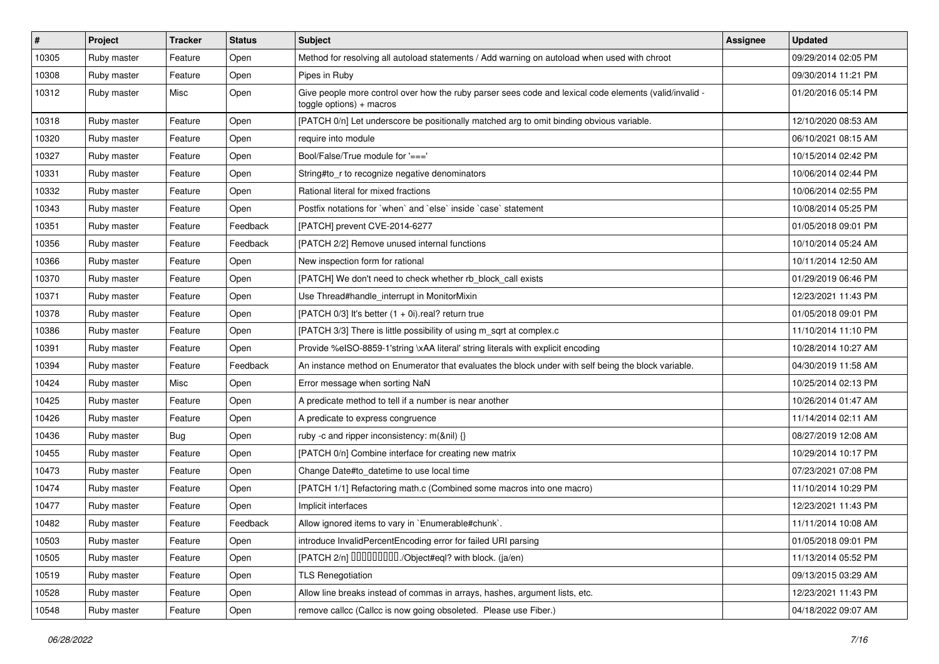| $\sharp$ | Project     | <b>Tracker</b> | <b>Status</b> | Subject                                                                                                                            | <b>Assignee</b> | <b>Updated</b>      |
|----------|-------------|----------------|---------------|------------------------------------------------------------------------------------------------------------------------------------|-----------------|---------------------|
| 10305    | Ruby master | Feature        | Open          | Method for resolving all autoload statements / Add warning on autoload when used with chroot                                       |                 | 09/29/2014 02:05 PM |
| 10308    | Ruby master | Feature        | Open          | Pipes in Ruby                                                                                                                      |                 | 09/30/2014 11:21 PM |
| 10312    | Ruby master | Misc           | Open          | Give people more control over how the ruby parser sees code and lexical code elements (valid/invalid -<br>toggle options) + macros |                 | 01/20/2016 05:14 PM |
| 10318    | Ruby master | Feature        | Open          | [PATCH 0/n] Let underscore be positionally matched arg to omit binding obvious variable.                                           |                 | 12/10/2020 08:53 AM |
| 10320    | Ruby master | Feature        | Open          | require into module                                                                                                                |                 | 06/10/2021 08:15 AM |
| 10327    | Ruby master | Feature        | Open          | Bool/False/True module for '==='                                                                                                   |                 | 10/15/2014 02:42 PM |
| 10331    | Ruby master | Feature        | Open          | String#to_r to recognize negative denominators                                                                                     |                 | 10/06/2014 02:44 PM |
| 10332    | Ruby master | Feature        | Open          | Rational literal for mixed fractions                                                                                               |                 | 10/06/2014 02:55 PM |
| 10343    | Ruby master | Feature        | Open          | Postfix notations for `when` and `else` inside `case` statement                                                                    |                 | 10/08/2014 05:25 PM |
| 10351    | Ruby master | Feature        | Feedback      | [PATCH] prevent CVE-2014-6277                                                                                                      |                 | 01/05/2018 09:01 PM |
| 10356    | Ruby master | Feature        | Feedback      | [PATCH 2/2] Remove unused internal functions                                                                                       |                 | 10/10/2014 05:24 AM |
| 10366    | Ruby master | Feature        | Open          | New inspection form for rational                                                                                                   |                 | 10/11/2014 12:50 AM |
| 10370    | Ruby master | Feature        | Open          | [PATCH] We don't need to check whether rb_block_call exists                                                                        |                 | 01/29/2019 06:46 PM |
| 10371    | Ruby master | Feature        | Open          | Use Thread#handle_interrupt in MonitorMixin                                                                                        |                 | 12/23/2021 11:43 PM |
| 10378    | Ruby master | Feature        | Open          | [PATCH 0/3] It's better $(1 + 0i)$ .real? return true                                                                              |                 | 01/05/2018 09:01 PM |
| 10386    | Ruby master | Feature        | Open          | [PATCH 3/3] There is little possibility of using m_sqrt at complex.c                                                               |                 | 11/10/2014 11:10 PM |
| 10391    | Ruby master | Feature        | Open          | Provide %eISO-8859-1'string \xAA literal' string literals with explicit encoding                                                   |                 | 10/28/2014 10:27 AM |
| 10394    | Ruby master | Feature        | Feedback      | An instance method on Enumerator that evaluates the block under with self being the block variable.                                |                 | 04/30/2019 11:58 AM |
| 10424    | Ruby master | Misc           | Open          | Error message when sorting NaN                                                                                                     |                 | 10/25/2014 02:13 PM |
| 10425    | Ruby master | Feature        | Open          | A predicate method to tell if a number is near another                                                                             |                 | 10/26/2014 01:47 AM |
| 10426    | Ruby master | Feature        | Open          | A predicate to express congruence                                                                                                  |                 | 11/14/2014 02:11 AM |
| 10436    | Ruby master | <b>Bug</b>     | Open          | ruby -c and ripper inconsistency: m(&nil) {}                                                                                       |                 | 08/27/2019 12:08 AM |
| 10455    | Ruby master | Feature        | Open          | [PATCH 0/n] Combine interface for creating new matrix                                                                              |                 | 10/29/2014 10:17 PM |
| 10473    | Ruby master | Feature        | Open          | Change Date#to_datetime to use local time                                                                                          |                 | 07/23/2021 07:08 PM |
| 10474    | Ruby master | Feature        | Open          | [PATCH 1/1] Refactoring math.c (Combined some macros into one macro)                                                               |                 | 11/10/2014 10:29 PM |
| 10477    | Ruby master | Feature        | Open          | Implicit interfaces                                                                                                                |                 | 12/23/2021 11:43 PM |
| 10482    | Ruby master | Feature        | Feedback      | Allow ignored items to vary in `Enumerable#chunk`.                                                                                 |                 | 11/11/2014 10:08 AM |
| 10503    | Ruby master | Feature        | Open          | introduce InvalidPercentEncoding error for failed URI parsing                                                                      |                 | 01/05/2018 09:01 PM |
| 10505    | Ruby master | Feature        | Open          | [PATCH 2/n] DDDDDDDD./Object#eql? with block. (ja/en)                                                                              |                 | 11/13/2014 05:52 PM |
| 10519    | Ruby master | Feature        | Open          | <b>TLS Renegotiation</b>                                                                                                           |                 | 09/13/2015 03:29 AM |
| 10528    | Ruby master | Feature        | Open          | Allow line breaks instead of commas in arrays, hashes, argument lists, etc.                                                        |                 | 12/23/2021 11:43 PM |
| 10548    | Ruby master | Feature        | Open          | remove callcc (Callcc is now going obsoleted. Please use Fiber.)                                                                   |                 | 04/18/2022 09:07 AM |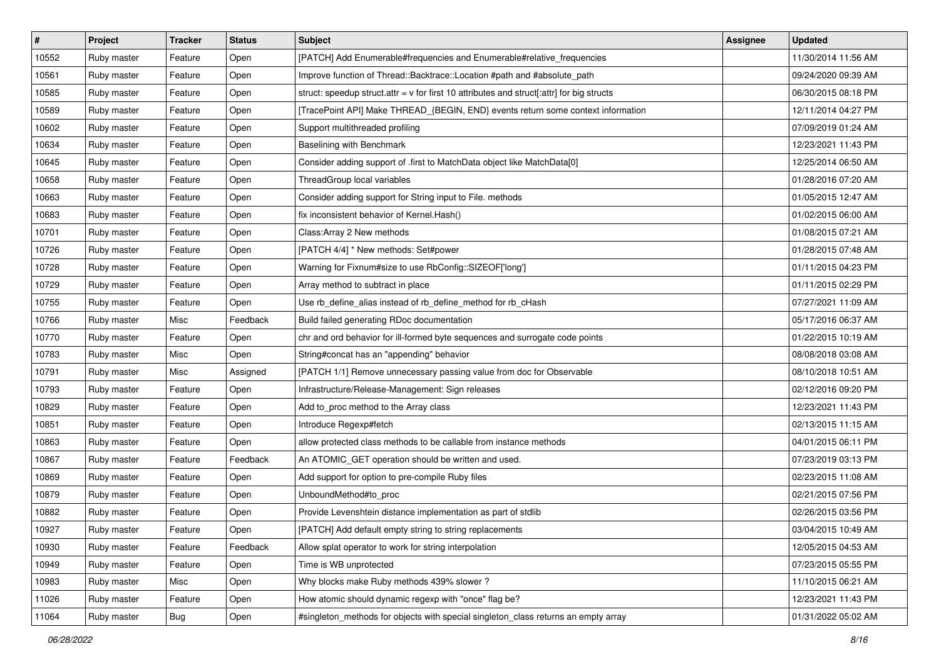| $\vert$ # | Project     | <b>Tracker</b> | <b>Status</b> | <b>Subject</b>                                                                              | Assignee | <b>Updated</b>      |
|-----------|-------------|----------------|---------------|---------------------------------------------------------------------------------------------|----------|---------------------|
| 10552     | Ruby master | Feature        | Open          | [PATCH] Add Enumerable#frequencies and Enumerable#relative_frequencies                      |          | 11/30/2014 11:56 AM |
| 10561     | Ruby master | Feature        | Open          | Improve function of Thread::Backtrace::Location #path and #absolute_path                    |          | 09/24/2020 09:39 AM |
| 10585     | Ruby master | Feature        | Open          | struct: speedup struct.attr = $v$ for first 10 attributes and struct[:attr] for big structs |          | 06/30/2015 08:18 PM |
| 10589     | Ruby master | Feature        | Open          | [TracePoint API] Make THREAD_{BEGIN, END} events return some context information            |          | 12/11/2014 04:27 PM |
| 10602     | Ruby master | Feature        | Open          | Support multithreaded profiling                                                             |          | 07/09/2019 01:24 AM |
| 10634     | Ruby master | Feature        | Open          | Baselining with Benchmark                                                                   |          | 12/23/2021 11:43 PM |
| 10645     | Ruby master | Feature        | Open          | Consider adding support of .first to MatchData object like MatchData[0]                     |          | 12/25/2014 06:50 AM |
| 10658     | Ruby master | Feature        | Open          | ThreadGroup local variables                                                                 |          | 01/28/2016 07:20 AM |
| 10663     | Ruby master | Feature        | Open          | Consider adding support for String input to File. methods                                   |          | 01/05/2015 12:47 AM |
| 10683     | Ruby master | Feature        | Open          | fix inconsistent behavior of Kernel.Hash()                                                  |          | 01/02/2015 06:00 AM |
| 10701     | Ruby master | Feature        | Open          | Class: Array 2 New methods                                                                  |          | 01/08/2015 07:21 AM |
| 10726     | Ruby master | Feature        | Open          | [PATCH 4/4] * New methods: Set#power                                                        |          | 01/28/2015 07:48 AM |
| 10728     | Ruby master | Feature        | Open          | Warning for Fixnum#size to use RbConfig::SIZEOF['long']                                     |          | 01/11/2015 04:23 PM |
| 10729     | Ruby master | Feature        | Open          | Array method to subtract in place                                                           |          | 01/11/2015 02:29 PM |
| 10755     | Ruby master | Feature        | Open          | Use rb_define_alias instead of rb_define_method for rb_cHash                                |          | 07/27/2021 11:09 AM |
| 10766     | Ruby master | Misc           | Feedback      | Build failed generating RDoc documentation                                                  |          | 05/17/2016 06:37 AM |
| 10770     | Ruby master | Feature        | Open          | chr and ord behavior for ill-formed byte sequences and surrogate code points                |          | 01/22/2015 10:19 AM |
| 10783     | Ruby master | Misc           | Open          | String#concat has an "appending" behavior                                                   |          | 08/08/2018 03:08 AM |
| 10791     | Ruby master | Misc           | Assigned      | [PATCH 1/1] Remove unnecessary passing value from doc for Observable                        |          | 08/10/2018 10:51 AM |
| 10793     | Ruby master | Feature        | Open          | Infrastructure/Release-Management: Sign releases                                            |          | 02/12/2016 09:20 PM |
| 10829     | Ruby master | Feature        | Open          | Add to_proc method to the Array class                                                       |          | 12/23/2021 11:43 PM |
| 10851     | Ruby master | Feature        | Open          | Introduce Regexp#fetch                                                                      |          | 02/13/2015 11:15 AM |
| 10863     | Ruby master | Feature        | Open          | allow protected class methods to be callable from instance methods                          |          | 04/01/2015 06:11 PM |
| 10867     | Ruby master | Feature        | Feedback      | An ATOMIC_GET operation should be written and used.                                         |          | 07/23/2019 03:13 PM |
| 10869     | Ruby master | Feature        | Open          | Add support for option to pre-compile Ruby files                                            |          | 02/23/2015 11:08 AM |
| 10879     | Ruby master | Feature        | Open          | UnboundMethod#to_proc                                                                       |          | 02/21/2015 07:56 PM |
| 10882     | Ruby master | Feature        | Open          | Provide Levenshtein distance implementation as part of stdlib                               |          | 02/26/2015 03:56 PM |
| 10927     | Ruby master | Feature        | Open          | [PATCH] Add default empty string to string replacements                                     |          | 03/04/2015 10:49 AM |
| 10930     | Ruby master | Feature        | Feedback      | Allow splat operator to work for string interpolation                                       |          | 12/05/2015 04:53 AM |
| 10949     | Ruby master | Feature        | Open          | Time is WB unprotected                                                                      |          | 07/23/2015 05:55 PM |
| 10983     | Ruby master | Misc           | Open          | Why blocks make Ruby methods 439% slower?                                                   |          | 11/10/2015 06:21 AM |
| 11026     | Ruby master | Feature        | Open          | How atomic should dynamic regexp with "once" flag be?                                       |          | 12/23/2021 11:43 PM |
| 11064     | Ruby master | Bug            | Open          | #singleton_methods for objects with special singleton_class returns an empty array          |          | 01/31/2022 05:02 AM |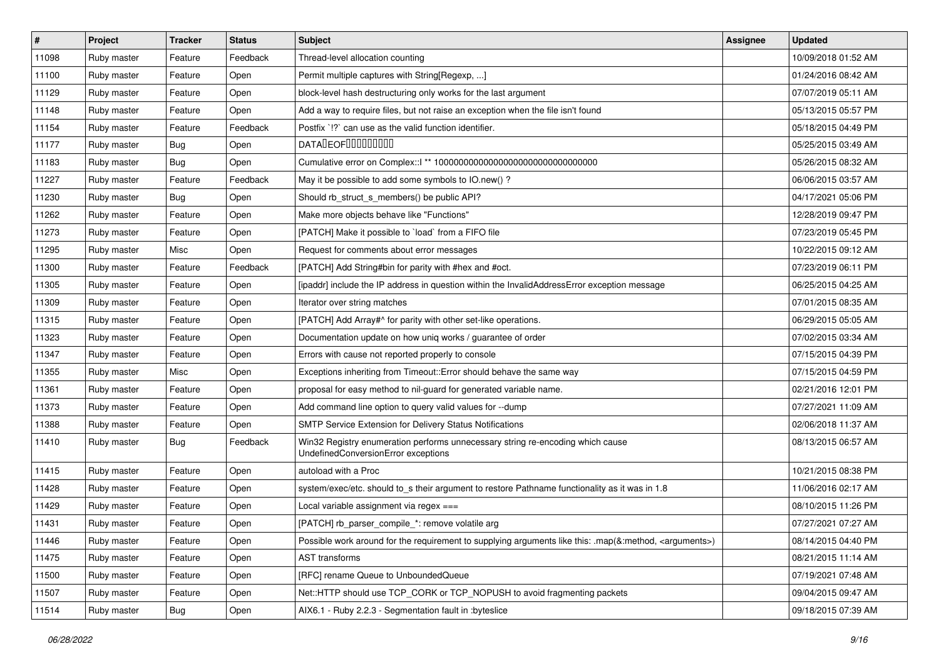| #     | Project     | <b>Tracker</b> | <b>Status</b> | <b>Subject</b>                                                                                                        | Assignee | <b>Updated</b>      |
|-------|-------------|----------------|---------------|-----------------------------------------------------------------------------------------------------------------------|----------|---------------------|
| 11098 | Ruby master | Feature        | Feedback      | Thread-level allocation counting                                                                                      |          | 10/09/2018 01:52 AM |
| 11100 | Ruby master | Feature        | Open          | Permit multiple captures with String[Regexp, ]                                                                        |          | 01/24/2016 08:42 AM |
| 11129 | Ruby master | Feature        | Open          | block-level hash destructuring only works for the last argument                                                       |          | 07/07/2019 05:11 AM |
| 11148 | Ruby master | Feature        | Open          | Add a way to require files, but not raise an exception when the file isn't found                                      |          | 05/13/2015 05:57 PM |
| 11154 | Ruby master | Feature        | Feedback      | Postfix '!?' can use as the valid function identifier.                                                                |          | 05/18/2015 04:49 PM |
| 11177 | Ruby master | <b>Bug</b>     | Open          | <b>DATALEOFILILILILILI</b>                                                                                            |          | 05/25/2015 03:49 AM |
| 11183 | Ruby master | <b>Bug</b>     | Open          |                                                                                                                       |          | 05/26/2015 08:32 AM |
| 11227 | Ruby master | Feature        | Feedback      | May it be possible to add some symbols to IO.new()?                                                                   |          | 06/06/2015 03:57 AM |
| 11230 | Ruby master | Bug            | Open          | Should rb_struct_s_members() be public API?                                                                           |          | 04/17/2021 05:06 PM |
| 11262 | Ruby master | Feature        | Open          | Make more objects behave like "Functions"                                                                             |          | 12/28/2019 09:47 PM |
| 11273 | Ruby master | Feature        | Open          | [PATCH] Make it possible to `load` from a FIFO file                                                                   |          | 07/23/2019 05:45 PM |
| 11295 | Ruby master | Misc           | Open          | Request for comments about error messages                                                                             |          | 10/22/2015 09:12 AM |
| 11300 | Ruby master | Feature        | Feedback      | [PATCH] Add String#bin for parity with #hex and #oct.                                                                 |          | 07/23/2019 06:11 PM |
| 11305 | Ruby master | Feature        | Open          | [ipaddr] include the IP address in question within the InvalidAddressError exception message                          |          | 06/25/2015 04:25 AM |
| 11309 | Ruby master | Feature        | Open          | Iterator over string matches                                                                                          |          | 07/01/2015 08:35 AM |
| 11315 | Ruby master | Feature        | Open          | [PATCH] Add Array#^ for parity with other set-like operations.                                                        |          | 06/29/2015 05:05 AM |
| 11323 | Ruby master | Feature        | Open          | Documentation update on how uniq works / guarantee of order                                                           |          | 07/02/2015 03:34 AM |
| 11347 | Ruby master | Feature        | Open          | Errors with cause not reported properly to console                                                                    |          | 07/15/2015 04:39 PM |
| 11355 | Ruby master | Misc           | Open          | Exceptions inheriting from Timeout:: Error should behave the same way                                                 |          | 07/15/2015 04:59 PM |
| 11361 | Ruby master | Feature        | Open          | proposal for easy method to nil-guard for generated variable name.                                                    |          | 02/21/2016 12:01 PM |
| 11373 | Ruby master | Feature        | Open          | Add command line option to query valid values for --dump                                                              |          | 07/27/2021 11:09 AM |
| 11388 | Ruby master | Feature        | Open          | <b>SMTP Service Extension for Delivery Status Notifications</b>                                                       |          | 02/06/2018 11:37 AM |
| 11410 | Ruby master | <b>Bug</b>     | Feedback      | Win32 Registry enumeration performs unnecessary string re-encoding which cause<br>UndefinedConversionError exceptions |          | 08/13/2015 06:57 AM |
| 11415 | Ruby master | Feature        | Open          | autoload with a Proc                                                                                                  |          | 10/21/2015 08:38 PM |
| 11428 | Ruby master | Feature        | Open          | system/exec/etc. should to_s their argument to restore Pathname functionality as it was in 1.8                        |          | 11/06/2016 02:17 AM |
| 11429 | Ruby master | Feature        | Open          | Local variable assignment via regex ===                                                                               |          | 08/10/2015 11:26 PM |
| 11431 | Ruby master | Feature        | Open          | [PATCH] rb_parser_compile_*: remove volatile arg                                                                      |          | 07/27/2021 07:27 AM |
| 11446 | Ruby master | Feature        | Open          | Possible work around for the requirement to supplying arguments like this: .map(&:method, <arguments>)</arguments>    |          | 08/14/2015 04:40 PM |
| 11475 | Ruby master | Feature        | Open          | <b>AST</b> transforms                                                                                                 |          | 08/21/2015 11:14 AM |
| 11500 | Ruby master | Feature        | Open          | [RFC] rename Queue to UnboundedQueue                                                                                  |          | 07/19/2021 07:48 AM |
| 11507 | Ruby master | Feature        | Open          | Net::HTTP should use TCP_CORK or TCP_NOPUSH to avoid fragmenting packets                                              |          | 09/04/2015 09:47 AM |
| 11514 | Ruby master | <b>Bug</b>     | Open          | AIX6.1 - Ruby 2.2.3 - Segmentation fault in :byteslice                                                                |          | 09/18/2015 07:39 AM |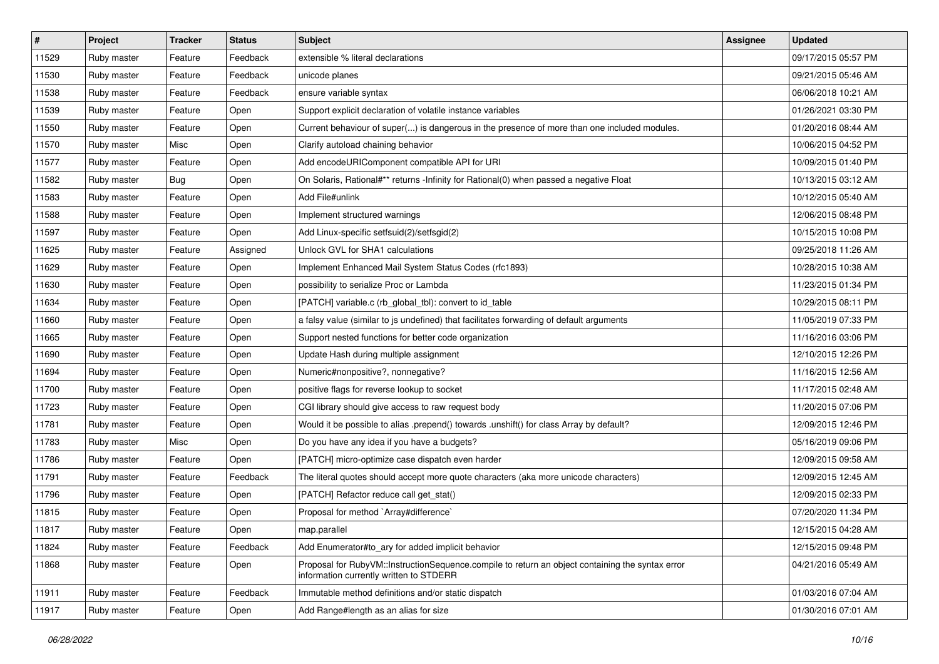| $\vert$ # | Project     | <b>Tracker</b> | <b>Status</b> | <b>Subject</b>                                                                                                                              | <b>Assignee</b> | <b>Updated</b>      |
|-----------|-------------|----------------|---------------|---------------------------------------------------------------------------------------------------------------------------------------------|-----------------|---------------------|
| 11529     | Ruby master | Feature        | Feedback      | extensible % literal declarations                                                                                                           |                 | 09/17/2015 05:57 PM |
| 11530     | Ruby master | Feature        | Feedback      | unicode planes                                                                                                                              |                 | 09/21/2015 05:46 AM |
| 11538     | Ruby master | Feature        | Feedback      | ensure variable syntax                                                                                                                      |                 | 06/06/2018 10:21 AM |
| 11539     | Ruby master | Feature        | Open          | Support explicit declaration of volatile instance variables                                                                                 |                 | 01/26/2021 03:30 PM |
| 11550     | Ruby master | Feature        | Open          | Current behaviour of super() is dangerous in the presence of more than one included modules.                                                |                 | 01/20/2016 08:44 AM |
| 11570     | Ruby master | Misc           | Open          | Clarify autoload chaining behavior                                                                                                          |                 | 10/06/2015 04:52 PM |
| 11577     | Ruby master | Feature        | Open          | Add encodeURIComponent compatible API for URI                                                                                               |                 | 10/09/2015 01:40 PM |
| 11582     | Ruby master | <b>Bug</b>     | Open          | On Solaris, Rational#** returns -Infinity for Rational(0) when passed a negative Float                                                      |                 | 10/13/2015 03:12 AM |
| 11583     | Ruby master | Feature        | Open          | Add File#unlink                                                                                                                             |                 | 10/12/2015 05:40 AM |
| 11588     | Ruby master | Feature        | Open          | Implement structured warnings                                                                                                               |                 | 12/06/2015 08:48 PM |
| 11597     | Ruby master | Feature        | Open          | Add Linux-specific setfsuid(2)/setfsgid(2)                                                                                                  |                 | 10/15/2015 10:08 PM |
| 11625     | Ruby master | Feature        | Assigned      | Unlock GVL for SHA1 calculations                                                                                                            |                 | 09/25/2018 11:26 AM |
| 11629     | Ruby master | Feature        | Open          | Implement Enhanced Mail System Status Codes (rfc1893)                                                                                       |                 | 10/28/2015 10:38 AM |
| 11630     | Ruby master | Feature        | Open          | possibility to serialize Proc or Lambda                                                                                                     |                 | 11/23/2015 01:34 PM |
| 11634     | Ruby master | Feature        | Open          | [PATCH] variable.c (rb_global_tbl): convert to id_table                                                                                     |                 | 10/29/2015 08:11 PM |
| 11660     | Ruby master | Feature        | Open          | a falsy value (similar to js undefined) that facilitates forwarding of default arguments                                                    |                 | 11/05/2019 07:33 PM |
| 11665     | Ruby master | Feature        | Open          | Support nested functions for better code organization                                                                                       |                 | 11/16/2016 03:06 PM |
| 11690     | Ruby master | Feature        | Open          | Update Hash during multiple assignment                                                                                                      |                 | 12/10/2015 12:26 PM |
| 11694     | Ruby master | Feature        | Open          | Numeric#nonpositive?, nonnegative?                                                                                                          |                 | 11/16/2015 12:56 AM |
| 11700     | Ruby master | Feature        | Open          | positive flags for reverse lookup to socket                                                                                                 |                 | 11/17/2015 02:48 AM |
| 11723     | Ruby master | Feature        | Open          | CGI library should give access to raw request body                                                                                          |                 | 11/20/2015 07:06 PM |
| 11781     | Ruby master | Feature        | Open          | Would it be possible to alias .prepend() towards .unshift() for class Array by default?                                                     |                 | 12/09/2015 12:46 PM |
| 11783     | Ruby master | Misc           | Open          | Do you have any idea if you have a budgets?                                                                                                 |                 | 05/16/2019 09:06 PM |
| 11786     | Ruby master | Feature        | Open          | [PATCH] micro-optimize case dispatch even harder                                                                                            |                 | 12/09/2015 09:58 AM |
| 11791     | Ruby master | Feature        | Feedback      | The literal quotes should accept more quote characters (aka more unicode characters)                                                        |                 | 12/09/2015 12:45 AM |
| 11796     | Ruby master | Feature        | Open          | [PATCH] Refactor reduce call get_stat()                                                                                                     |                 | 12/09/2015 02:33 PM |
| 11815     | Ruby master | Feature        | Open          | Proposal for method `Array#difference`                                                                                                      |                 | 07/20/2020 11:34 PM |
| 11817     | Ruby master | Feature        | Open          | map.parallel                                                                                                                                |                 | 12/15/2015 04:28 AM |
| 11824     | Ruby master | Feature        | Feedback      | Add Enumerator#to ary for added implicit behavior                                                                                           |                 | 12/15/2015 09:48 PM |
| 11868     | Ruby master | Feature        | Open          | Proposal for RubyVM::InstructionSequence.compile to return an object containing the syntax error<br>information currently written to STDERR |                 | 04/21/2016 05:49 AM |
| 11911     | Ruby master | Feature        | Feedback      | Immutable method definitions and/or static dispatch                                                                                         |                 | 01/03/2016 07:04 AM |
| 11917     | Ruby master | Feature        | Open          | Add Range#length as an alias for size                                                                                                       |                 | 01/30/2016 07:01 AM |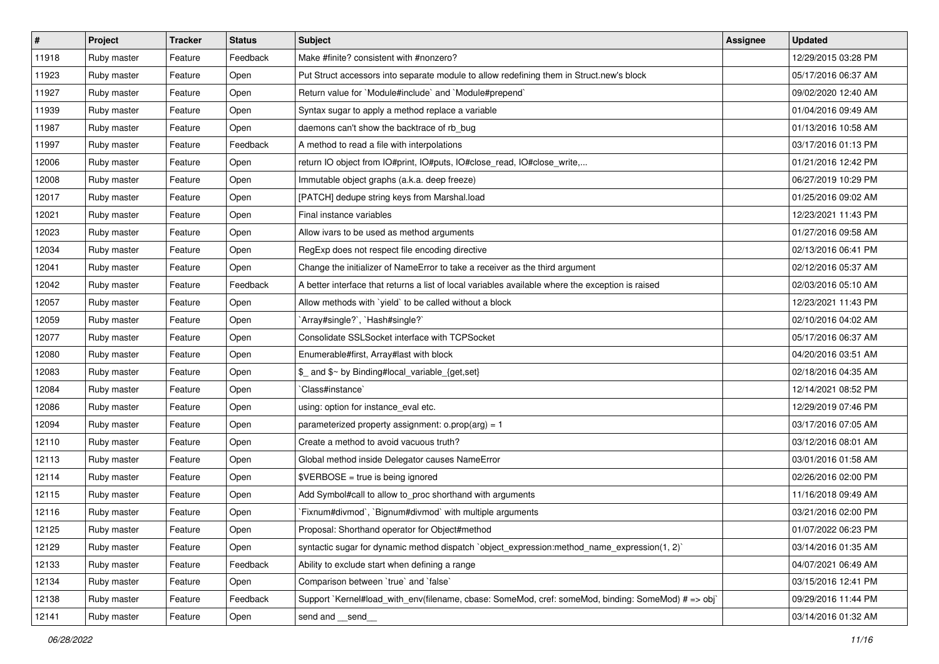| #     | Project     | <b>Tracker</b> | <b>Status</b> | Subject                                                                                            | <b>Assignee</b> | <b>Updated</b>      |
|-------|-------------|----------------|---------------|----------------------------------------------------------------------------------------------------|-----------------|---------------------|
| 11918 | Ruby master | Feature        | Feedback      | Make #finite? consistent with #nonzero?                                                            |                 | 12/29/2015 03:28 PM |
| 11923 | Ruby master | Feature        | Open          | Put Struct accessors into separate module to allow redefining them in Struct.new's block           |                 | 05/17/2016 06:37 AM |
| 11927 | Ruby master | Feature        | Open          | Return value for `Module#include` and `Module#prepend`                                             |                 | 09/02/2020 12:40 AM |
| 11939 | Ruby master | Feature        | Open          | Syntax sugar to apply a method replace a variable                                                  |                 | 01/04/2016 09:49 AM |
| 11987 | Ruby master | Feature        | Open          | daemons can't show the backtrace of rb_bug                                                         |                 | 01/13/2016 10:58 AM |
| 11997 | Ruby master | Feature        | Feedback      | A method to read a file with interpolations                                                        |                 | 03/17/2016 01:13 PM |
| 12006 | Ruby master | Feature        | Open          | return IO object from IO#print, IO#puts, IO#close_read, IO#close_write,                            |                 | 01/21/2016 12:42 PM |
| 12008 | Ruby master | Feature        | Open          | Immutable object graphs (a.k.a. deep freeze)                                                       |                 | 06/27/2019 10:29 PM |
| 12017 | Ruby master | Feature        | Open          | [PATCH] dedupe string keys from Marshal.load                                                       |                 | 01/25/2016 09:02 AM |
| 12021 | Ruby master | Feature        | Open          | Final instance variables                                                                           |                 | 12/23/2021 11:43 PM |
| 12023 | Ruby master | Feature        | Open          | Allow ivars to be used as method arguments                                                         |                 | 01/27/2016 09:58 AM |
| 12034 | Ruby master | Feature        | Open          | RegExp does not respect file encoding directive                                                    |                 | 02/13/2016 06:41 PM |
| 12041 | Ruby master | Feature        | Open          | Change the initializer of NameError to take a receiver as the third argument                       |                 | 02/12/2016 05:37 AM |
| 12042 | Ruby master | Feature        | Feedback      | A better interface that returns a list of local variables available where the exception is raised  |                 | 02/03/2016 05:10 AM |
| 12057 | Ruby master | Feature        | Open          | Allow methods with 'yield' to be called without a block                                            |                 | 12/23/2021 11:43 PM |
| 12059 | Ruby master | Feature        | Open          | 'Array#single?', 'Hash#single?'                                                                    |                 | 02/10/2016 04:02 AM |
| 12077 | Ruby master | Feature        | Open          | Consolidate SSLSocket interface with TCPSocket                                                     |                 | 05/17/2016 06:37 AM |
| 12080 | Ruby master | Feature        | Open          | Enumerable#first, Array#last with block                                                            |                 | 04/20/2016 03:51 AM |
| 12083 | Ruby master | Feature        | Open          | \$ and \$~ by Binding#local_variable_{get,set}                                                     |                 | 02/18/2016 04:35 AM |
| 12084 | Ruby master | Feature        | Open          | 'Class#instance'                                                                                   |                 | 12/14/2021 08:52 PM |
| 12086 | Ruby master | Feature        | Open          | using: option for instance_eval etc.                                                               |                 | 12/29/2019 07:46 PM |
| 12094 | Ruby master | Feature        | Open          | parameterized property assignment: $o.prop(arg) = 1$                                               |                 | 03/17/2016 07:05 AM |
| 12110 | Ruby master | Feature        | Open          | Create a method to avoid vacuous truth?                                                            |                 | 03/12/2016 08:01 AM |
| 12113 | Ruby master | Feature        | Open          | Global method inside Delegator causes NameError                                                    |                 | 03/01/2016 01:58 AM |
| 12114 | Ruby master | Feature        | Open          | \$VERBOSE = true is being ignored                                                                  |                 | 02/26/2016 02:00 PM |
| 12115 | Ruby master | Feature        | Open          | Add Symbol#call to allow to_proc shorthand with arguments                                          |                 | 11/16/2018 09:49 AM |
| 12116 | Ruby master | Feature        | Open          | Fixnum#divmod`, `Bignum#divmod` with multiple arguments                                            |                 | 03/21/2016 02:00 PM |
| 12125 | Ruby master | Feature        | Open          | Proposal: Shorthand operator for Object#method                                                     |                 | 01/07/2022 06:23 PM |
| 12129 | Ruby master | Feature        | Open          | syntactic sugar for dynamic method dispatch `object expression: method name expression(1, 2)`      |                 | 03/14/2016 01:35 AM |
| 12133 | Ruby master | Feature        | Feedback      | Ability to exclude start when defining a range                                                     |                 | 04/07/2021 06:49 AM |
| 12134 | Ruby master | Feature        | Open          | Comparison between 'true' and 'false'                                                              |                 | 03/15/2016 12:41 PM |
| 12138 | Ruby master | Feature        | Feedback      | Support `Kernel#load_with_env(filename, cbase: SomeMod, cref: someMod, binding: SomeMod) # => obj` |                 | 09/29/2016 11:44 PM |
| 12141 | Ruby master | Feature        | Open          | send and __send__                                                                                  |                 | 03/14/2016 01:32 AM |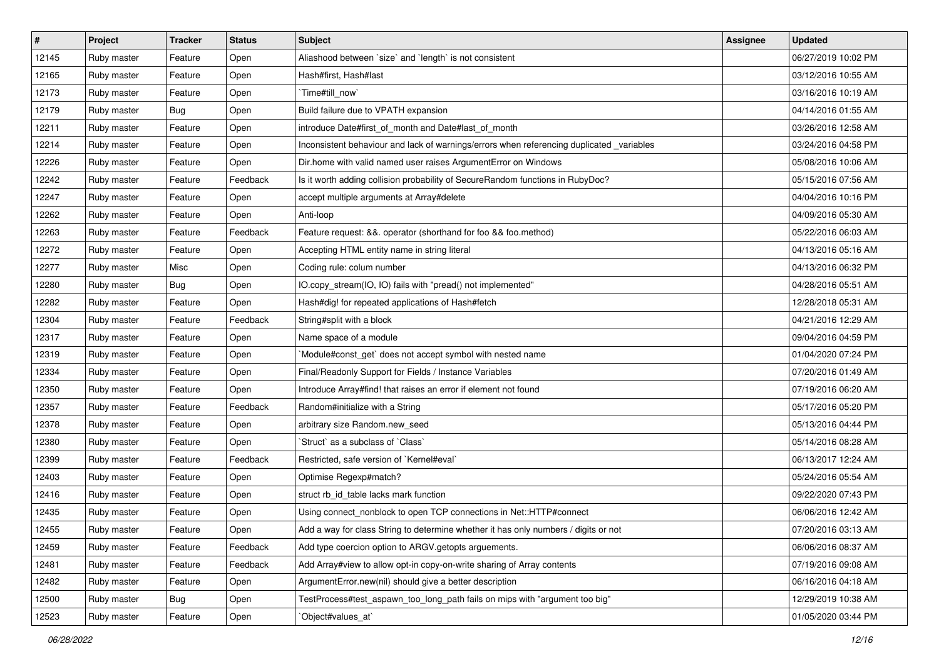| #     | Project     | <b>Tracker</b> | <b>Status</b> | <b>Subject</b>                                                                            | <b>Assignee</b> | <b>Updated</b>      |
|-------|-------------|----------------|---------------|-------------------------------------------------------------------------------------------|-----------------|---------------------|
| 12145 | Ruby master | Feature        | Open          | Aliashood between `size` and `length` is not consistent                                   |                 | 06/27/2019 10:02 PM |
| 12165 | Ruby master | Feature        | Open          | Hash#first, Hash#last                                                                     |                 | 03/12/2016 10:55 AM |
| 12173 | Ruby master | Feature        | Open          | `Time#till_now`                                                                           |                 | 03/16/2016 10:19 AM |
| 12179 | Ruby master | Bug            | Open          | Build failure due to VPATH expansion                                                      |                 | 04/14/2016 01:55 AM |
| 12211 | Ruby master | Feature        | Open          | introduce Date#first_of_month and Date#last_of_month                                      |                 | 03/26/2016 12:58 AM |
| 12214 | Ruby master | Feature        | Open          | Inconsistent behaviour and lack of warnings/errors when referencing duplicated _variables |                 | 03/24/2016 04:58 PM |
| 12226 | Ruby master | Feature        | Open          | Dir.home with valid named user raises ArgumentError on Windows                            |                 | 05/08/2016 10:06 AM |
| 12242 | Ruby master | Feature        | Feedback      | Is it worth adding collision probability of SecureRandom functions in RubyDoc?            |                 | 05/15/2016 07:56 AM |
| 12247 | Ruby master | Feature        | Open          | accept multiple arguments at Array#delete                                                 |                 | 04/04/2016 10:16 PM |
| 12262 | Ruby master | Feature        | Open          | Anti-loop                                                                                 |                 | 04/09/2016 05:30 AM |
| 12263 | Ruby master | Feature        | Feedback      | Feature request: &&. operator (shorthand for foo && foo.method)                           |                 | 05/22/2016 06:03 AM |
| 12272 | Ruby master | Feature        | Open          | Accepting HTML entity name in string literal                                              |                 | 04/13/2016 05:16 AM |
| 12277 | Ruby master | Misc           | Open          | Coding rule: colum number                                                                 |                 | 04/13/2016 06:32 PM |
| 12280 | Ruby master | <b>Bug</b>     | Open          | IO.copy_stream(IO, IO) fails with "pread() not implemented"                               |                 | 04/28/2016 05:51 AM |
| 12282 | Ruby master | Feature        | Open          | Hash#dig! for repeated applications of Hash#fetch                                         |                 | 12/28/2018 05:31 AM |
| 12304 | Ruby master | Feature        | Feedback      | String#split with a block                                                                 |                 | 04/21/2016 12:29 AM |
| 12317 | Ruby master | Feature        | Open          | Name space of a module                                                                    |                 | 09/04/2016 04:59 PM |
| 12319 | Ruby master | Feature        | Open          | Module#const_get` does not accept symbol with nested name                                 |                 | 01/04/2020 07:24 PM |
| 12334 | Ruby master | Feature        | Open          | Final/Readonly Support for Fields / Instance Variables                                    |                 | 07/20/2016 01:49 AM |
| 12350 | Ruby master | Feature        | Open          | Introduce Array#find! that raises an error if element not found                           |                 | 07/19/2016 06:20 AM |
| 12357 | Ruby master | Feature        | Feedback      | Random#initialize with a String                                                           |                 | 05/17/2016 05:20 PM |
| 12378 | Ruby master | Feature        | Open          | arbitrary size Random.new_seed                                                            |                 | 05/13/2016 04:44 PM |
| 12380 | Ruby master | Feature        | Open          | 'Struct' as a subclass of 'Class'                                                         |                 | 05/14/2016 08:28 AM |
| 12399 | Ruby master | Feature        | Feedback      | Restricted, safe version of `Kernel#eval`                                                 |                 | 06/13/2017 12:24 AM |
| 12403 | Ruby master | Feature        | Open          | Optimise Regexp#match?                                                                    |                 | 05/24/2016 05:54 AM |
| 12416 | Ruby master | Feature        | Open          | struct rb_id_table lacks mark function                                                    |                 | 09/22/2020 07:43 PM |
| 12435 | Ruby master | Feature        | Open          | Using connect_nonblock to open TCP connections in Net::HTTP#connect                       |                 | 06/06/2016 12:42 AM |
| 12455 | Ruby master | Feature        | Open          | Add a way for class String to determine whether it has only numbers / digits or not       |                 | 07/20/2016 03:13 AM |
| 12459 | Ruby master | Feature        | Feedback      | Add type coercion option to ARGV getopts arguements.                                      |                 | 06/06/2016 08:37 AM |
| 12481 | Ruby master | Feature        | Feedback      | Add Array#view to allow opt-in copy-on-write sharing of Array contents                    |                 | 07/19/2016 09:08 AM |
| 12482 | Ruby master | Feature        | Open          | ArgumentError.new(nil) should give a better description                                   |                 | 06/16/2016 04:18 AM |
| 12500 | Ruby master | <b>Bug</b>     | Open          | TestProcess#test_aspawn_too_long_path fails on mips with "argument too big"               |                 | 12/29/2019 10:38 AM |
| 12523 | Ruby master | Feature        | Open          | `Object#values_at`                                                                        |                 | 01/05/2020 03:44 PM |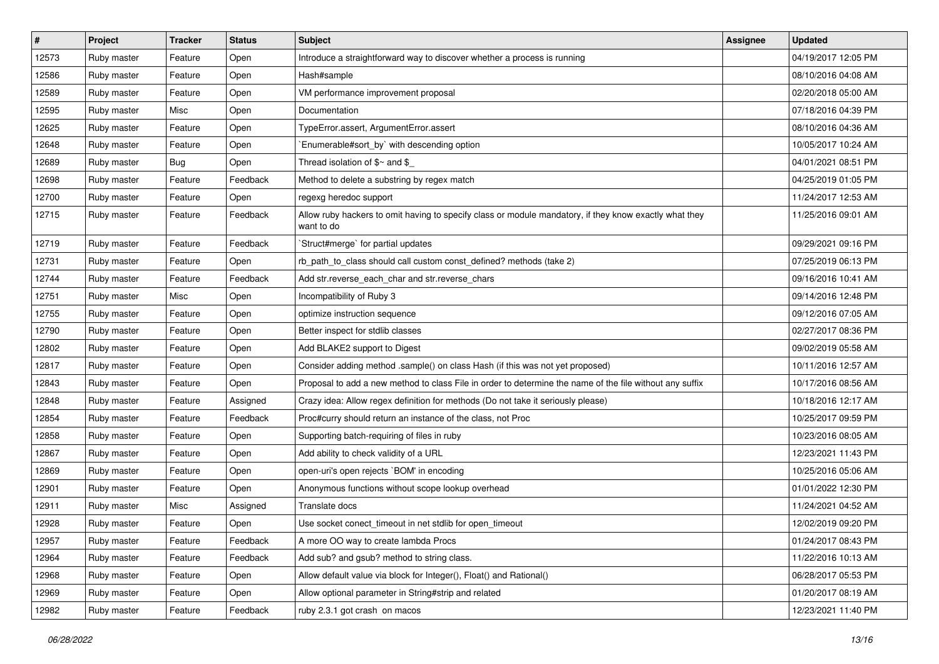| $\sharp$ | Project     | <b>Tracker</b> | <b>Status</b> | <b>Subject</b>                                                                                                       | <b>Assignee</b> | <b>Updated</b>      |
|----------|-------------|----------------|---------------|----------------------------------------------------------------------------------------------------------------------|-----------------|---------------------|
| 12573    | Ruby master | Feature        | Open          | Introduce a straightforward way to discover whether a process is running                                             |                 | 04/19/2017 12:05 PM |
| 12586    | Ruby master | Feature        | Open          | Hash#sample                                                                                                          |                 | 08/10/2016 04:08 AM |
| 12589    | Ruby master | Feature        | Open          | VM performance improvement proposal                                                                                  |                 | 02/20/2018 05:00 AM |
| 12595    | Ruby master | Misc           | Open          | Documentation                                                                                                        |                 | 07/18/2016 04:39 PM |
| 12625    | Ruby master | Feature        | Open          | TypeError.assert, ArgumentError.assert                                                                               |                 | 08/10/2016 04:36 AM |
| 12648    | Ruby master | Feature        | Open          | Enumerable#sort_by` with descending option                                                                           |                 | 10/05/2017 10:24 AM |
| 12689    | Ruby master | <b>Bug</b>     | Open          | Thread isolation of $$~$ and $$$                                                                                     |                 | 04/01/2021 08:51 PM |
| 12698    | Ruby master | Feature        | Feedback      | Method to delete a substring by regex match                                                                          |                 | 04/25/2019 01:05 PM |
| 12700    | Ruby master | Feature        | Open          | regexg heredoc support                                                                                               |                 | 11/24/2017 12:53 AM |
| 12715    | Ruby master | Feature        | Feedback      | Allow ruby hackers to omit having to specify class or module mandatory, if they know exactly what they<br>want to do |                 | 11/25/2016 09:01 AM |
| 12719    | Ruby master | Feature        | Feedback      | 'Struct#merge' for partial updates                                                                                   |                 | 09/29/2021 09:16 PM |
| 12731    | Ruby master | Feature        | Open          | rb_path_to_class should call custom const_defined? methods (take 2)                                                  |                 | 07/25/2019 06:13 PM |
| 12744    | Ruby master | Feature        | Feedback      | Add str.reverse_each_char and str.reverse_chars                                                                      |                 | 09/16/2016 10:41 AM |
| 12751    | Ruby master | Misc           | Open          | Incompatibility of Ruby 3                                                                                            |                 | 09/14/2016 12:48 PM |
| 12755    | Ruby master | Feature        | Open          | optimize instruction sequence                                                                                        |                 | 09/12/2016 07:05 AM |
| 12790    | Ruby master | Feature        | Open          | Better inspect for stdlib classes                                                                                    |                 | 02/27/2017 08:36 PM |
| 12802    | Ruby master | Feature        | Open          | Add BLAKE2 support to Digest                                                                                         |                 | 09/02/2019 05:58 AM |
| 12817    | Ruby master | Feature        | Open          | Consider adding method .sample() on class Hash (if this was not yet proposed)                                        |                 | 10/11/2016 12:57 AM |
| 12843    | Ruby master | Feature        | Open          | Proposal to add a new method to class File in order to determine the name of the file without any suffix             |                 | 10/17/2016 08:56 AM |
| 12848    | Ruby master | Feature        | Assigned      | Crazy idea: Allow regex definition for methods (Do not take it seriously please)                                     |                 | 10/18/2016 12:17 AM |
| 12854    | Ruby master | Feature        | Feedback      | Proc#curry should return an instance of the class, not Proc                                                          |                 | 10/25/2017 09:59 PM |
| 12858    | Ruby master | Feature        | Open          | Supporting batch-requiring of files in ruby                                                                          |                 | 10/23/2016 08:05 AM |
| 12867    | Ruby master | Feature        | Open          | Add ability to check validity of a URL                                                                               |                 | 12/23/2021 11:43 PM |
| 12869    | Ruby master | Feature        | Open          | open-uri's open rejects `BOM' in encoding                                                                            |                 | 10/25/2016 05:06 AM |
| 12901    | Ruby master | Feature        | Open          | Anonymous functions without scope lookup overhead                                                                    |                 | 01/01/2022 12:30 PM |
| 12911    | Ruby master | Misc           | Assigned      | Translate docs                                                                                                       |                 | 11/24/2021 04:52 AM |
| 12928    | Ruby master | Feature        | Open          | Use socket conect timeout in net stdlib for open timeout                                                             |                 | 12/02/2019 09:20 PM |
| 12957    | Ruby master | Feature        | Feedback      | A more OO way to create lambda Procs                                                                                 |                 | 01/24/2017 08:43 PM |
| 12964    | Ruby master | Feature        | Feedback      | Add sub? and gsub? method to string class.                                                                           |                 | 11/22/2016 10:13 AM |
| 12968    | Ruby master | Feature        | Open          | Allow default value via block for Integer(), Float() and Rational()                                                  |                 | 06/28/2017 05:53 PM |
| 12969    | Ruby master | Feature        | Open          | Allow optional parameter in String#strip and related                                                                 |                 | 01/20/2017 08:19 AM |
| 12982    | Ruby master | Feature        | Feedback      | ruby 2.3.1 got crash on macos                                                                                        |                 | 12/23/2021 11:40 PM |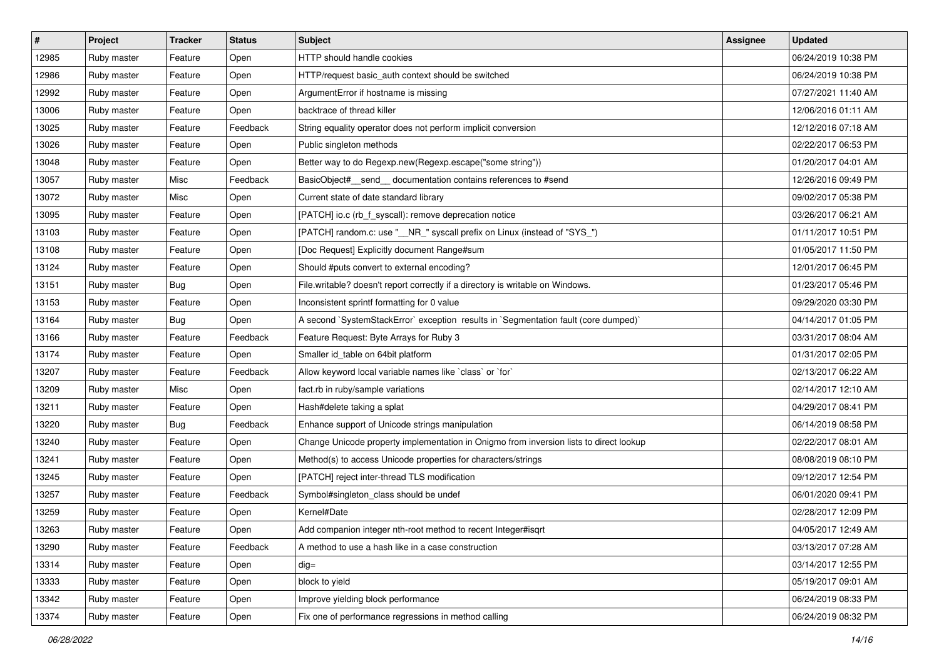| $\vert$ # | <b>Project</b> | <b>Tracker</b> | <b>Status</b> | <b>Subject</b>                                                                         | Assignee | <b>Updated</b>      |
|-----------|----------------|----------------|---------------|----------------------------------------------------------------------------------------|----------|---------------------|
| 12985     | Ruby master    | Feature        | Open          | HTTP should handle cookies                                                             |          | 06/24/2019 10:38 PM |
| 12986     | Ruby master    | Feature        | Open          | HTTP/request basic_auth context should be switched                                     |          | 06/24/2019 10:38 PM |
| 12992     | Ruby master    | Feature        | Open          | ArgumentError if hostname is missing                                                   |          | 07/27/2021 11:40 AM |
| 13006     | Ruby master    | Feature        | Open          | backtrace of thread killer                                                             |          | 12/06/2016 01:11 AM |
| 13025     | Ruby master    | Feature        | Feedback      | String equality operator does not perform implicit conversion                          |          | 12/12/2016 07:18 AM |
| 13026     | Ruby master    | Feature        | Open          | Public singleton methods                                                               |          | 02/22/2017 06:53 PM |
| 13048     | Ruby master    | Feature        | Open          | Better way to do Regexp.new(Regexp.escape("some string"))                              |          | 01/20/2017 04:01 AM |
| 13057     | Ruby master    | Misc           | Feedback      | BasicObject#_send_ documentation contains references to #send                          |          | 12/26/2016 09:49 PM |
| 13072     | Ruby master    | Misc           | Open          | Current state of date standard library                                                 |          | 09/02/2017 05:38 PM |
| 13095     | Ruby master    | Feature        | Open          | [PATCH] io.c (rb_f_syscall): remove deprecation notice                                 |          | 03/26/2017 06:21 AM |
| 13103     | Ruby master    | Feature        | Open          | [PATCH] random.c: use "__NR_" syscall prefix on Linux (instead of "SYS_")              |          | 01/11/2017 10:51 PM |
| 13108     | Ruby master    | Feature        | Open          | [Doc Request] Explicitly document Range#sum                                            |          | 01/05/2017 11:50 PM |
| 13124     | Ruby master    | Feature        | Open          | Should #puts convert to external encoding?                                             |          | 12/01/2017 06:45 PM |
| 13151     | Ruby master    | <b>Bug</b>     | Open          | File.writable? doesn't report correctly if a directory is writable on Windows.         |          | 01/23/2017 05:46 PM |
| 13153     | Ruby master    | Feature        | Open          | Inconsistent sprintf formatting for 0 value                                            |          | 09/29/2020 03:30 PM |
| 13164     | Ruby master    | <b>Bug</b>     | Open          | A second `SystemStackError` exception results in `Segmentation fault (core dumped)`    |          | 04/14/2017 01:05 PM |
| 13166     | Ruby master    | Feature        | Feedback      | Feature Request: Byte Arrays for Ruby 3                                                |          | 03/31/2017 08:04 AM |
| 13174     | Ruby master    | Feature        | Open          | Smaller id_table on 64bit platform                                                     |          | 01/31/2017 02:05 PM |
| 13207     | Ruby master    | Feature        | Feedback      | Allow keyword local variable names like `class` or `for`                               |          | 02/13/2017 06:22 AM |
| 13209     | Ruby master    | Misc           | Open          | fact.rb in ruby/sample variations                                                      |          | 02/14/2017 12:10 AM |
| 13211     | Ruby master    | Feature        | Open          | Hash#delete taking a splat                                                             |          | 04/29/2017 08:41 PM |
| 13220     | Ruby master    | Bug            | Feedback      | Enhance support of Unicode strings manipulation                                        |          | 06/14/2019 08:58 PM |
| 13240     | Ruby master    | Feature        | Open          | Change Unicode property implementation in Onigmo from inversion lists to direct lookup |          | 02/22/2017 08:01 AM |
| 13241     | Ruby master    | Feature        | Open          | Method(s) to access Unicode properties for characters/strings                          |          | 08/08/2019 08:10 PM |
| 13245     | Ruby master    | Feature        | Open          | [PATCH] reject inter-thread TLS modification                                           |          | 09/12/2017 12:54 PM |
| 13257     | Ruby master    | Feature        | Feedback      | Symbol#singleton_class should be undef                                                 |          | 06/01/2020 09:41 PM |
| 13259     | Ruby master    | Feature        | Open          | Kernel#Date                                                                            |          | 02/28/2017 12:09 PM |
| 13263     | Ruby master    | Feature        | Open          | Add companion integer nth-root method to recent Integer#isqrt                          |          | 04/05/2017 12:49 AM |
| 13290     | Ruby master    | Feature        | Feedback      | A method to use a hash like in a case construction                                     |          | 03/13/2017 07:28 AM |
| 13314     | Ruby master    | Feature        | Open          | dig=                                                                                   |          | 03/14/2017 12:55 PM |
| 13333     | Ruby master    | Feature        | Open          | block to yield                                                                         |          | 05/19/2017 09:01 AM |
| 13342     | Ruby master    | Feature        | Open          | Improve yielding block performance                                                     |          | 06/24/2019 08:33 PM |
| 13374     | Ruby master    | Feature        | Open          | Fix one of performance regressions in method calling                                   |          | 06/24/2019 08:32 PM |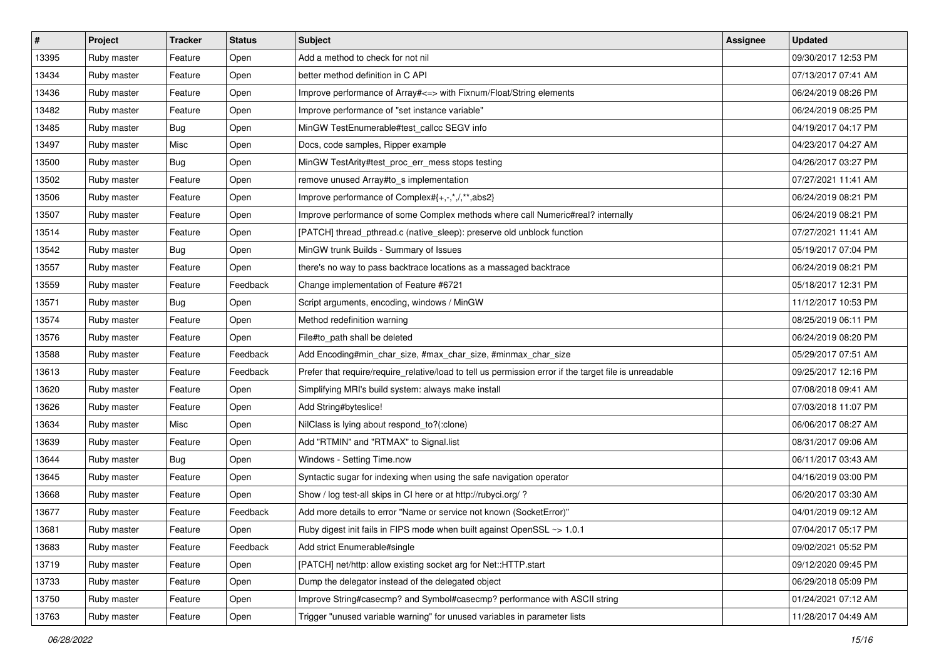| $\vert$ # | <b>Project</b> | <b>Tracker</b> | <b>Status</b> | <b>Subject</b>                                                                                         | Assignee | <b>Updated</b>      |
|-----------|----------------|----------------|---------------|--------------------------------------------------------------------------------------------------------|----------|---------------------|
| 13395     | Ruby master    | Feature        | Open          | Add a method to check for not nil                                                                      |          | 09/30/2017 12:53 PM |
| 13434     | Ruby master    | Feature        | Open          | better method definition in C API                                                                      |          | 07/13/2017 07:41 AM |
| 13436     | Ruby master    | Feature        | Open          | Improve performance of Array#<=> with Fixnum/Float/String elements                                     |          | 06/24/2019 08:26 PM |
| 13482     | Ruby master    | Feature        | Open          | Improve performance of "set instance variable"                                                         |          | 06/24/2019 08:25 PM |
| 13485     | Ruby master    | <b>Bug</b>     | Open          | MinGW TestEnumerable#test_callcc SEGV info                                                             |          | 04/19/2017 04:17 PM |
| 13497     | Ruby master    | Misc           | Open          | Docs, code samples, Ripper example                                                                     |          | 04/23/2017 04:27 AM |
| 13500     | Ruby master    | <b>Bug</b>     | Open          | MinGW TestArity#test_proc_err_mess stops testing                                                       |          | 04/26/2017 03:27 PM |
| 13502     | Ruby master    | Feature        | Open          | remove unused Array#to_s implementation                                                                |          | 07/27/2021 11:41 AM |
| 13506     | Ruby master    | Feature        | Open          | Improve performance of Complex#{+,-,*,/,**,abs2}                                                       |          | 06/24/2019 08:21 PM |
| 13507     | Ruby master    | Feature        | Open          | Improve performance of some Complex methods where call Numeric#real? internally                        |          | 06/24/2019 08:21 PM |
| 13514     | Ruby master    | Feature        | Open          | [PATCH] thread_pthread.c (native_sleep): preserve old unblock function                                 |          | 07/27/2021 11:41 AM |
| 13542     | Ruby master    | <b>Bug</b>     | Open          | MinGW trunk Builds - Summary of Issues                                                                 |          | 05/19/2017 07:04 PM |
| 13557     | Ruby master    | Feature        | Open          | there's no way to pass backtrace locations as a massaged backtrace                                     |          | 06/24/2019 08:21 PM |
| 13559     | Ruby master    | Feature        | Feedback      | Change implementation of Feature #6721                                                                 |          | 05/18/2017 12:31 PM |
| 13571     | Ruby master    | <b>Bug</b>     | Open          | Script arguments, encoding, windows / MinGW                                                            |          | 11/12/2017 10:53 PM |
| 13574     | Ruby master    | Feature        | Open          | Method redefinition warning                                                                            |          | 08/25/2019 06:11 PM |
| 13576     | Ruby master    | Feature        | Open          | File#to_path shall be deleted                                                                          |          | 06/24/2019 08:20 PM |
| 13588     | Ruby master    | Feature        | Feedback      | Add Encoding#min_char_size, #max_char_size, #minmax_char_size                                          |          | 05/29/2017 07:51 AM |
| 13613     | Ruby master    | Feature        | Feedback      | Prefer that require/require_relative/load to tell us permission error if the target file is unreadable |          | 09/25/2017 12:16 PM |
| 13620     | Ruby master    | Feature        | Open          | Simplifying MRI's build system: always make install                                                    |          | 07/08/2018 09:41 AM |
| 13626     | Ruby master    | Feature        | Open          | Add String#byteslice!                                                                                  |          | 07/03/2018 11:07 PM |
| 13634     | Ruby master    | Misc           | Open          | NilClass is lying about respond_to?(:clone)                                                            |          | 06/06/2017 08:27 AM |
| 13639     | Ruby master    | Feature        | Open          | Add "RTMIN" and "RTMAX" to Signal.list                                                                 |          | 08/31/2017 09:06 AM |
| 13644     | Ruby master    | <b>Bug</b>     | Open          | Windows - Setting Time.now                                                                             |          | 06/11/2017 03:43 AM |
| 13645     | Ruby master    | Feature        | Open          | Syntactic sugar for indexing when using the safe navigation operator                                   |          | 04/16/2019 03:00 PM |
| 13668     | Ruby master    | Feature        | Open          | Show / log test-all skips in CI here or at http://rubyci.org/ ?                                        |          | 06/20/2017 03:30 AM |
| 13677     | Ruby master    | Feature        | Feedback      | Add more details to error "Name or service not known (SocketError)"                                    |          | 04/01/2019 09:12 AM |
| 13681     | Ruby master    | Feature        | Open          | Ruby digest init fails in FIPS mode when built against OpenSSL ~> 1.0.1                                |          | 07/04/2017 05:17 PM |
| 13683     | Ruby master    | Feature        | Feedback      | Add strict Enumerable#single                                                                           |          | 09/02/2021 05:52 PM |
| 13719     | Ruby master    | Feature        | Open          | [PATCH] net/http: allow existing socket arg for Net::HTTP.start                                        |          | 09/12/2020 09:45 PM |
| 13733     | Ruby master    | Feature        | Open          | Dump the delegator instead of the delegated object                                                     |          | 06/29/2018 05:09 PM |
| 13750     | Ruby master    | Feature        | Open          | Improve String#casecmp? and Symbol#casecmp? performance with ASCII string                              |          | 01/24/2021 07:12 AM |
| 13763     | Ruby master    | Feature        | Open          | Trigger "unused variable warning" for unused variables in parameter lists                              |          | 11/28/2017 04:49 AM |